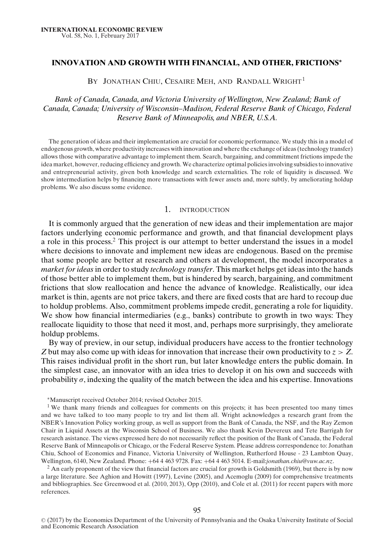# **INNOVATION AND GROWTH WITH FINANCIAL, AND OTHER, FRICTIONS∗**

# BY JONATHAN CHIU, CESAIRE MEH, AND RANDALL WRIGHT<sup>1</sup>

*Bank of Canada, Canada, and Victoria University of Wellington, New Zealand; Bank of Canada, Canada; University of Wisconsin–Madison, Federal Reserve Bank of Chicago, Federal Reserve Bank of Minneapolis, and NBER, U.S.A.*

The generation of ideas and their implementation are crucial for economic performance. We study this in a model of endogenous growth, where productivity increases with innovation and where the exchange of ideas (technology transfer) allows those with comparative advantage to implement them. Search, bargaining, and commitment frictions impede the idea market, however, reducing efficiency and growth.We characterize optimal policies involving subsidies to innovative and entrepreneurial activity, given both knowledge and search externalities. The role of liquidity is discussed. We show intermediation helps by financing more transactions with fewer assets and, more subtly, by ameliorating holdup problems. We also discuss some evidence.

### 1. INTRODUCTION

It is commonly argued that the generation of new ideas and their implementation are major factors underlying economic performance and growth, and that financial development plays a role in this process.2 This project is our attempt to better understand the issues in a model where decisions to innovate and implement new ideas are endogenous. Based on the premise that some people are better at research and others at development, the model incorporates a *market for ideas* in order to study *technology transfer*. This market helps get ideas into the hands of those better able to implement them, but is hindered by search, bargaining, and commitment frictions that slow reallocation and hence the advance of knowledge. Realistically, our idea market is thin, agents are not price takers, and there are fixed costs that are hard to recoup due to holdup problems. Also, commitment problems impede credit, generating a role for liquidity. We show how financial intermediaries (e.g., banks) contribute to growth in two ways: They reallocate liquidity to those that need it most, and, perhaps more surprisingly, they ameliorate holdup problems.

By way of preview, in our setup, individual producers have access to the frontier technology *Z* but may also come up with ideas for innovation that increase their own productivity to *z* > *Z*. This raises individual profit in the short run, but later knowledge enters the public domain. In the simplest case, an innovator with an idea tries to develop it on his own and succeeds with probability  $\sigma$ , indexing the quality of the match between the idea and his expertise. Innovations

<sup>∗</sup>Manuscript received October 2014; revised October 2015.

<sup>1</sup> We thank many friends and colleagues for comments on this projects; it has been presented too many times and we have talked to too many people to try and list them all. Wright acknowledges a research grant from the NBER's Innovation Policy working group, as well as support from the Bank of Canada, the NSF, and the Ray Zemon Chair in Liquid Assets at the Wisconsin School of Business. We also thank Kevin Devereux and Tete Barrigah for research asistance. The views expressed here do not necessarily reflect the position of the Bank of Canada, the Federal Reserve Bank of Minneapolis or Chicago, or the Federal Reserve System. Please address correspondence to: Jonathan Chiu, School of Economics and Finance, Victoria University of Wellington, Rutherford House - 23 Lambton Quay, Wellington, 6140, New Zealand. Phone: +64 4 463 9728. Fax: +64 4 463 5014. E-mail:*jonathan.chiu@vuw.ac.nz*.

 $2$  An early proponent of the view that financial factors are crucial for growth is Goldsmith (1969), but there is by now a large literature. See Aghion and Howitt (1997), Levine (2005), and Acemoglu (2009) for comprehensive treatments and bibliographies. See Greenwood et al. (2010, 2013), Opp (2010), and Cole et al. (2011) for recent papers with more references.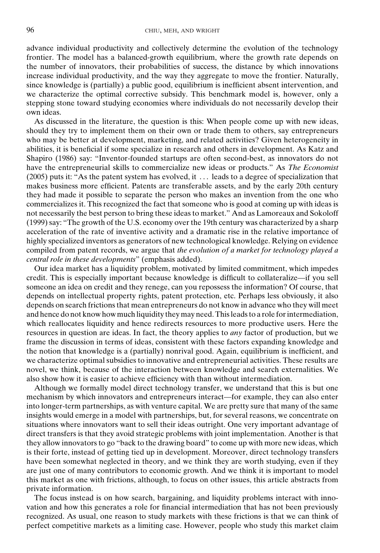advance individual productivity and collectively determine the evolution of the technology frontier. The model has a balanced-growth equilibrium, where the growth rate depends on the number of innovators, their probabilities of success, the distance by which innovations increase individual productivity, and the way they aggregate to move the frontier. Naturally, since knowledge is (partially) a public good, equilibrium is inefficient absent intervention, and we characterize the optimal corrective subsidy. This benchmark model is, however, only a stepping stone toward studying economies where individuals do not necessarily develop their own ideas.

As discussed in the literature, the question is this: When people come up with new ideas, should they try to implement them on their own or trade them to others, say entrepreneurs who may be better at development, marketing, and related activities? Given heterogeneity in abilities, it is beneficial if some specialize in research and others in development. As Katz and Shapiro (1986) say: "Inventor-founded startups are often second-best, as innovators do not have the entrepreneurial skills to commercialize new ideas or products." As *The Economist* (2005) puts it: "As the patent system has evolved, it . . . leads to a degree of specialization that makes business more efficient. Patents are transferable assets, and by the early 20th century they had made it possible to separate the person who makes an invention from the one who commercializes it. This recognized the fact that someone who is good at coming up with ideas is not necessarily the best person to bring these ideas to market." And as Lamoreaux and Sokoloff (1999) say: "The growth of the U.S. economy over the 19th century was characterized by a sharp acceleration of the rate of inventive activity and a dramatic rise in the relative importance of highly specialized inventors as generators of new technological knowledge. Relying on evidence compiled from patent records, we argue that *the evolution of a market for technology played a central role in these developments*" (emphasis added).

Our idea market has a liquidity problem, motivated by limited commitment, which impedes credit. This is especially important because knowledge is difficult to collateralize—if you sell someone an idea on credit and they renege, can you repossess the information? Of course, that depends on intellectual property rights, patent protection, etc. Perhaps less obviously, it also depends on search frictions that mean entrepreneurs do not know in advance who they will meet and hence do not know how much liquidity they may need. This leads to a role for intermediation, which reallocates liquidity and hence redirects resources to more productive users. Here the resources in question are ideas. In fact, the theory applies to *any* factor of production, but we frame the discussion in terms of ideas, consistent with these factors expanding knowledge and the notion that knowledge is a (partially) nonrival good. Again, equilibrium is inefficient, and we characterize optimal subsidies to innovative and entrepreneurial activities. These results are novel, we think, because of the interaction between knowledge and search externalities. We also show how it is easier to achieve efficiency with than without intermediation.

Although we formally model direct technology transfer, we understand that this is but one mechanism by which innovators and entrepreneurs interact—for example, they can also enter into longer-term partnerships, as with venture capital. We are pretty sure that many of the same insights would emerge in a model with partnerships, but, for several reasons, we concentrate on situations where innovators want to sell their ideas outright. One very important advantage of direct transfers is that they avoid strategic problems with joint implementation. Another is that they allow innovators to go "back to the drawing board" to come up with more new ideas, which is their forte, instead of getting tied up in development. Moreover, direct technology transfers have been somewhat neglected in theory, and we think they are worth studying, even if they are just one of many contributors to economic growth. And we think it is important to model this market as one with frictions, although, to focus on other issues, this article abstracts from private information.

The focus instead is on how search, bargaining, and liquidity problems interact with innovation and how this generates a role for financial intermediation that has not been previously recognized. As usual, one reason to study markets with these frictions is that we can think of perfect competitive markets as a limiting case. However, people who study this market claim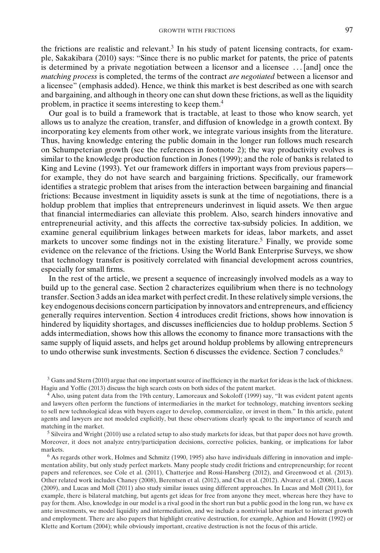the frictions are realistic and relevant.<sup>3</sup> In his study of patent licensing contracts, for example, Sakakibara (2010) says: "Since there is no public market for patents, the price of patents is determined by a private negotiation between a licensor and a licensee ...[and] once the *matching process* is completed, the terms of the contract *are negotiated* between a licensor and a licensee" (emphasis added). Hence, we think this market is best described as one with search and bargaining, and although in theory one can shut down these frictions, as well as the liquidity problem, in practice it seems interesting to keep them.4

Our goal is to build a framework that is tractable, at least to those who know search, yet allows us to analyze the creation, transfer, and diffusion of knowledge in a growth context. By incorporating key elements from other work, we integrate various insights from the literature. Thus, having knowledge entering the public domain in the longer run follows much research on Schumpeterian growth (see the references in footnote 2); the way productivity evolves is similar to the knowledge production function in Jones (1999); and the role of banks is related to King and Levine (1993). Yet our framework differs in important ways from previous papers for example, they do not have search and bargaining frictions. Specifically, our framework identifies a strategic problem that arises from the interaction between bargaining and financial frictions: Because investment in liquidity assets is sunk at the time of negotiations, there is a holdup problem that implies that entrepreneurs underinvest in liquid assets. We then argue that financial intermediaries can alleviate this problem. Also, search hinders innovative and entrepreneurial activity, and this affects the corrective tax-subsidy policies. In addition, we examine general equilibrium linkages between markets for ideas, labor markets, and asset markets to uncover some findings not in the existing literature.<sup>5</sup> Finally, we provide some evidence on the relevance of the frictions. Using the World Bank Enterprise Surveys, we show that technology transfer is positively correlated with financial development across countries, especially for small firms.

In the rest of the article, we present a sequence of increasingly involved models as a way to build up to the general case. Section 2 characterizes equilibrium when there is no technology transfer. Section 3 adds an idea market with perfect credit. In these relatively simple versions, the key endogenous decisions concern participation by innovators and entrepreneurs, and efficiency generally requires intervention. Section 4 introduces credit frictions, shows how innovation is hindered by liquidity shortages, and discusses inefficiencies due to holdup problems. Section 5 adds intermediation, shows how this allows the economy to finance more transactions with the same supply of liquid assets, and helps get around holdup problems by allowing entrepreneurs to undo otherwise sunk investments. Section 6 discusses the evidence. Section 7 concludes.<sup>6</sup>

<sup>3</sup> Gans and Stern (2010) argue that one important source of inefficiency in the market for ideas is the lack of thickness. Hagiu and Yoffie (2013) discuss the high search costs on both sides of the patent market.

<sup>4</sup> Also, using patent data from the 19th century, Lamoreaux and Sokoloff (1999) say, "It was evident patent agents and lawyers often perform the functions of intermediaries in the market for technology, matching inventors seeking to sell new technological ideas with buyers eager to develop, commercialize, or invest in them." In this article, patent agents and lawyers are not modeled explicitly, but these observations clearly speak to the importance of search and matching in the market.

<sup>5</sup> Silveira and Wright (2010) use a related setup to also study markets for ideas, but that paper does not have growth. Moreover, it does not analyze entry/participation decisions, corrective policies, banking, or implications for labor markets.

<sup>6</sup> As regards other work, Holmes and Schmitz (1990, 1995) also have individuals differing in innovation and implementation ability, but only study perfect markets. Many people study credit frictions and entrepreneurship; for recent papers and references, see Cole et al. (2011), Chatterjee and Rossi-Hansberg (2012), and Greenwood et al. (2013). Other related work includes Chaney (2008), Berentsen et al. (2012), and Chu et al. (2012). Alvarez et al. (2008), Lucas (2009), and Lucas and Moll (2011) also study similar issues using different approaches. In Lucas and Moll (2011), for example, there is bilateral matching, but agents get ideas for free from anyone they meet, whereas here they have to pay for them. Also, knowledge in our model is a rival good in the short run but a public good in the long run, we have ex ante investments, we model liquidity and intermediation, and we include a nontrivial labor market to interact growth and employment. There are also papers that highlight creative destruction, for example, Aghion and Howitt (1992) or Klette and Kortum (2004); while obviously important, creative destruction is not the focus of this article.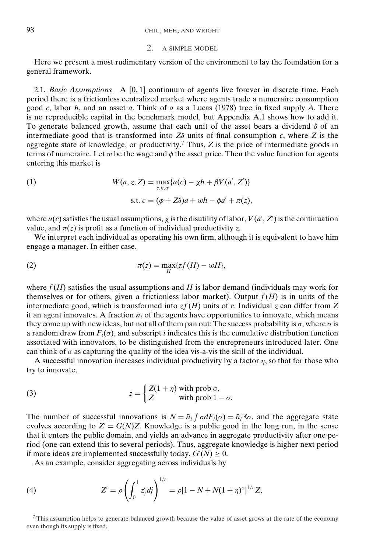# 2. A SIMPLE MODEL

Here we present a most rudimentary version of the environment to lay the foundation for a general framework.

2.1. *Basic Assumptions.* A [0, 1] continuum of agents live forever in discrete time. Each period there is a frictionless centralized market where agents trade a numeraire consumption good *c*, labor *h*, and an asset *a*. Think of *a* as a Lucas (1978) tree in fixed supply *A*. There is no reproducible capital in the benchmark model, but Appendix A.1 shows how to add it. To generate balanced growth, assume that each unit of the asset bears a dividend  $\delta$  of an intermediate good that is transformed into  $Z\delta$  units of final consumption *c*, where Z is the aggregate state of knowledge, or productivity.<sup>7</sup> Thus,  $Z$  is the price of intermediate goods in terms of numeraire. Let w be the wage and  $\phi$  the asset price. Then the value function for agents entering this market is

(1) 
$$
W(a, z; Z) = \max_{c, h, a'} \{u(c) - \chi h + \beta V(a', Z')\}
$$
  
s.t.  $c = (\phi + Z\delta)a + wh - \phi a' + \pi(z)$ ,

where  $u(c)$  satisfies the usual assumptions,  $\chi$  is the disutility of labor,  $V(a', Z')$  is the continuation value, and  $\pi(z)$  is profit as a function of individual productivity *z*.

We interpret each individual as operating his own firm, although it is equivalent to have him engage a manager. In either case,

(2) 
$$
\pi(z) = \max_H \{zf(H) - wH\},\
$$

where  $f(H)$  satisfies the usual assumptions and *H* is labor demand (individuals may work for themselves or for others, given a frictionless labor market). Output  $f(H)$  is in units of the intermediate good, which is transformed into  $zf(H)$  units of c. Individual *z* can differ from Z if an agent innovates. A fraction  $\bar{n}_i$  of the agents have opportunities to innovate, which means they come up with new ideas, but not all of them pan out: The success probability is  $\sigma$ , where  $\sigma$  is a random draw from  $F_i(\sigma)$ , and subscript *i* indicates this is the cumulative distribution function associated with innovators, to be distinguished from the entrepreneurs introduced later. One can think of  $\sigma$  as capturing the quality of the idea vis-a-vis the skill of the individual.

A successful innovation increases individual productivity by a factor  $\eta$ , so that for those who try to innovate,

(3) 
$$
z = \begin{cases} Z(1+\eta) \text{ with prob } \sigma, \\ Z \text{ with prob } 1-\sigma. \end{cases}
$$

The number of successful innovations is  $N = \bar{n}_i \int \sigma dF_i(\sigma) = \bar{n}_i \mathbb{E} \sigma$ , and the aggregate state evolves according to  $Z' = G(N)Z$ . Knowledge is a public good in the long run, in the sense that it enters the public domain, and yields an advance in aggregate productivity after one period (one can extend this to several periods). Thus, aggregate knowledge is higher next period if more ideas are implemented successfully today,  $G'(N) \geq 0$ .

As an example, consider aggregating across individuals by

(4) 
$$
Z' = \rho \left( \int_0^1 z_j^{\varepsilon} d j \right)^{1/\varepsilon} = \rho [1 - N + N(1 + \eta)^{\varepsilon}]^{1/\varepsilon} Z,
$$

 $7$  This assumption helps to generate balanced growth because the value of asset grows at the rate of the economy even though its supply is fixed.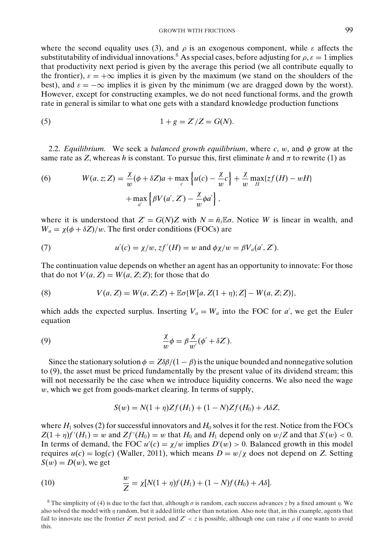where the second equality uses (3), and  $\rho$  is an exogenous component, while  $\varepsilon$  affects the substitutability of individual innovations.<sup>8</sup> As special cases, before adjusting for  $\rho$ ,  $\varepsilon = 1$  implies that productivity next period is given by the average this period (we all contribute equally to the frontier),  $\varepsilon = +\infty$  implies it is given by the maximum (we stand on the shoulders of the best), and  $\varepsilon = -\infty$  implies it is given by the minimum (we are dragged down by the worst). However, except for constructing examples, we do not need functional forms, and the growth rate in general is similar to what one gets with a standard knowledge production functions

$$
(5) \t\t\t 1+g=Z'/Z=G(N).
$$

2.2. *Equilibrium.* We seek a *balanced growth equilibrium*, where  $c, w$ , and  $\phi$  grow at the same rate as *Z*, whereas *h* is constant. To pursue this, first eliminate *h* and  $\pi$  to rewrite (1) as

(6) 
$$
W(a, z; Z) = \frac{\chi}{w} (\phi + \delta Z)a + \max_{c} \left\{ u(c) - \frac{\chi}{w} c \right\} + \frac{\chi}{w} \max_{H} \{zf(H) - wH\} + \max_{a'} \left\{ \beta V(a', Z') - \frac{\chi}{w} \phi a' \right\},
$$

where it is understood that  $Z' = G(N)Z$  with  $N = \bar{n}_i \mathbb{E} \sigma$ . Notice *W* is linear in wealth, and  $W_a = \chi(\phi + \delta Z)/w$ . The first order conditions (FOCs) are

(7) 
$$
u'(c) = \chi/w, z f'(H) = w \text{ and } \phi \chi/w = \beta V_a(a', Z').
$$

The continuation value depends on whether an agent has an opportunity to innovate: For those that do not  $V(a, Z) = W(a, Z; Z)$ ; for those that do

(8) 
$$
V(a, Z) = W(a, Z; Z) + \mathbb{E}\sigma\{W[a, Z(1+\eta); Z] - W(a, Z; Z)\},
$$

which adds the expected surplus. Inserting  $V_a = W_a$  into the FOC for *a'*, we get the Euler equation

(9) 
$$
\frac{\chi}{w}\phi = \beta \frac{\chi}{w'}(\phi' + \delta Z').
$$

Since the stationary solution  $\phi = Z\delta\beta/(1-\beta)$  is the unique bounded and nonnegative solution to (9), the asset must be priced fundamentally by the present value of its dividend stream; this will not necessarily be the case when we introduce liquidity concerns. We also need the wage  $w$ , which we get from goods-market clearing. In terms of supply,

$$
S(w) = N(1 + \eta)Zf(H_1) + (1 - N)Zf(H_0) + A\delta Z,
$$

where  $H_1$  solves (2) for successful innovators and  $H_0$  solves it for the rest. Notice from the FOCs  $Z(1 + \eta)f'(H_1) = w$  and  $Zf'(H_0) = w$  that  $H_0$  and  $H_1$  depend only on  $w/Z$  and that  $S'(w) < 0$ . In terms of demand, the FOC  $u'(c) = \chi/w$  implies  $D'(w) > 0$ . Balanced growth in this model requires  $u(c) = \log(c)$  (Waller, 2011), which means  $D = w/\chi$  does not depend on *Z*. Setting  $S(w) = D(w)$ , we get

(10) 
$$
\frac{w}{Z} = \chi[N(1+\eta)f(H_1) + (1-N)f(H_0) + A\delta].
$$

<sup>8</sup> The simplicity of (4) is due to the fact that, although σ is random, each success advances *z* by a fixed amount η. We also solved the model with  $\eta$  random, but it added little other than notation. Also note that, in this example, agents that fail to innovate use the frontier *Z'* next period, and  $Z' < z$  is possible, although one can raise  $\rho$  if one wants to avoid this.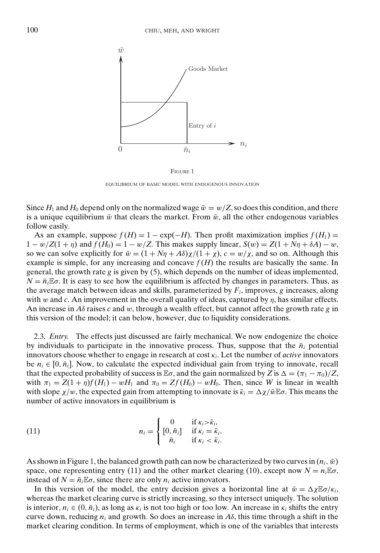

FIGURE 1

EQUILIBRIUM OF BASIC MODEL WITH ENDOGENOUS INNOVATION

Since  $H_1$  and  $H_0$  depend only on the normalized wage  $\bar{w} = w/Z$ , so does this condition, and there is a unique equilibrium  $\bar{w}$  that clears the market. From  $\bar{w}$ , all the other endogenous variables follow easily.

As an example, suppose  $f(H) = 1 - \exp(-H)$ . Then profit maximization implies  $f(H_1) =$  $1 - w/Z(1 + \eta)$  and  $f(H_0) = 1 - w/Z$ . This makes supply linear,  $S(w) = Z(1 + N\eta + \delta A) - w$ , so we can solve explicitly for  $\bar{w} = (1 + N\eta + A\delta)\chi/(1 + \chi)$ ,  $c = w/\chi$ , and so on. Although this example is simple, for any increasing and concave  $f(H)$  the results are basically the same. In general, the growth rate  $g$  is given by  $(5)$ , which depends on the number of ideas implemented,  $N = \bar{n}_i \mathbb{E} \sigma$ . It is easy to see how the equilibrium is affected by changes in parameters. Thus, as the average match between ideas and skills, parameterized by *Fi*, improves, *g* increases, along with w and  $c$ . An improvement in the overall quality of ideas, captured by  $\eta$ , has similar effects. An increase in *A*δ raises *c* and w, through a wealth effect, but cannot affect the growth rate *g* in this version of the model; it can below, however, due to liquidity considerations.

2.3. *Entry.* The effects just discussed are fairly mechanical. We now endogenize the choice by individuals to participate in the innovative process. Thus, suppose that the  $\bar{n}_i$  potential innovators choose whether to engage in research at cost κ*i*. Let the number of *active* innovators be  $n_i \in [0, \bar{n}_i]$ . Now, to calculate the expected individual gain from trying to innovate, recall that the expected probability of success is  $\mathbb{E}\sigma$ , and the gain normalized by *Z* is  $\Delta = (\pi_1 - \pi_0)/Z$ , with  $\pi_1 = Z(1 + \eta)f(H_1) - wH_1$  and  $\pi_0 = Zf(H_0) - wH_0$ . Then, since *W* is linear in wealth with slope  $\chi/w$ , the expected gain from attempting to innovate is  $\bar{\kappa}_i = \Delta \chi / \bar{w} \mathbb{E} \sigma$ . This means the number of active innovators in equilibrium is

(11) 
$$
n_i = \begin{cases} 0 & \text{if } \kappa_i > \bar{\kappa}_i, \\ [0, \bar{n}_i] & \text{if } \kappa_i = \bar{\kappa}_i, \\ \bar{n}_i & \text{if } \kappa_i < \bar{\kappa}_i. \end{cases}
$$

As shown in Figure 1, the balanced growth path can now be characterized by two curves in  $(n_i, \bar{w})$ space, one representing entry (11) and the other market clearing (10), except now  $N = n_i \mathbb{E} \sigma$ , instead of  $N = \bar{n}_i \mathbb{E} \sigma$ , since there are only  $n_i$  active innovators.

In this version of the model, the entry decision gives a horizontal line at  $\bar{w} = \Delta \chi \mathbb{E} \sigma / \kappa_i$ , whereas the market clearing curve is strictly increasing, so they intersect uniquely. The solution is interior,  $n_i \in (0, \bar{n}_i)$ , as long as  $\kappa_i$  is not too high or too low. An increase in  $\kappa_i$  shifts the entry curve down, reducing  $n_i$  and growth. So does an increase in  $A\delta$ , this time through a shift in the market clearing condition. In terms of employment, which is one of the variables that interests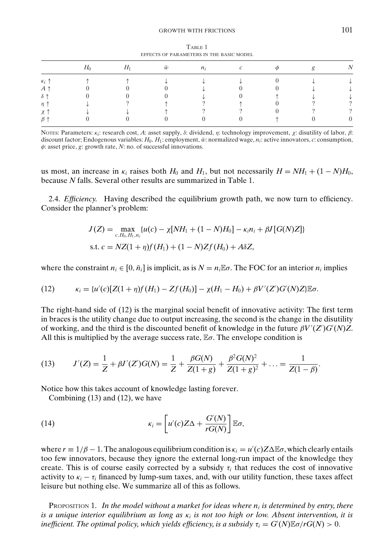|                                    | <u>Little and the manufacture</u> in the bitch model |  |   |       |  |   |  |
|------------------------------------|------------------------------------------------------|--|---|-------|--|---|--|
|                                    | $H_0$                                                |  | w | $n_i$ |  | ⋒ |  |
| $K_i$ <sup><math>\tau</math></sup> |                                                      |  |   |       |  |   |  |
| $A^*$                              |                                                      |  |   |       |  |   |  |
| $\delta$ $\uparrow$                |                                                      |  |   |       |  |   |  |
| $\eta$                             |                                                      |  |   |       |  |   |  |
| x 1                                |                                                      |  |   |       |  |   |  |
|                                    |                                                      |  |   |       |  |   |  |

TABLE 1 EFFECTS OF PARAMETERS IN THE BASIC MODEL

NOTES: Parameters: κ*i*: research cost, *A*: asset supply, δ: dividend, η: technology improvement, χ: disutility of labor, β: discount factor; Endogenous variables:  $H_0$ ,  $H_1$ : employment,  $\bar{w}$ : normalized wage,  $n_i$ : active innovators, *c*: consumption, φ: asset price, *g*: growth rate, *N*: no. of successful innovations.

us most, an increase in  $\kappa_i$  raises both  $H_0$  and  $H_1$ , but not necessarily  $H = NH_1 + (1 - N)H_0$ , because *N* falls. Several other results are summarized in Table 1.

2.4. *Efficiency.* Having described the equilibrium growth path, we now turn to efficiency. Consider the planner's problem:

$$
J(Z) = \max_{c, H_0, H_1, n_i} \{u(c) - \chi[NH_1 + (1 - N)H_0] - \kappa_i n_i + \beta J[G(N)Z]\}
$$
  
s.t.  $c = NZ(1 + \eta)f(H_1) + (1 - N)Zf(H_0) + A\delta Z$ ,

where the constraint  $n_i \in [0, \bar{n}_i]$  is implicit, as is  $N = n_i \mathbb{E} \sigma$ . The FOC for an interior  $n_i$  implies

(12) 
$$
\kappa_i = \{u'(c)[Z(1+\eta)f(H_1) - Zf(H_0)] - \chi(H_1 - H_0) + \beta V'(Z')G'(N)Z\} \mathbb{E}\sigma.
$$

The right-hand side of (12) is the marginal social benefit of innovative activity: The first term in braces is the utility change due to output increasing, the second is the change in the disutility of working, and the third is the discounted benefit of knowledge in the future  $\beta V'(Z')G'(N)Z$ . All this is multiplied by the average success rate,  $\mathbb{E}\sigma$ . The envelope condition is

(13) 
$$
J'(Z) = \frac{1}{Z} + \beta J'(Z')G(N) = \frac{1}{Z} + \frac{\beta G(N)}{Z(1+g)} + \frac{\beta^2 G(N)^2}{Z(1+g)^2} + \ldots = \frac{1}{Z(1-\beta)}.
$$

Notice how this takes account of knowledge lasting forever.

Combining (13) and (12), we have

(14) 
$$
\kappa_i = \left[ u'(c)Z\Delta + \frac{G'(N)}{rG(N)} \right] \mathbb{E}\sigma,
$$

where  $r \equiv 1/\beta - 1$ . The analogous equilibrium condition is  $\kappa_i = u'(c)Z\Delta \mathbb{E}\sigma$ , which clearly entails too few innovators, because they ignore the external long-run impact of the knowledge they create. This is of course easily corrected by a subsidy  $\tau_i$  that reduces the cost of innovative activity to  $\kappa_i - \tau_i$  financed by lump-sum taxes, and, with our utility function, these taxes affect leisure but nothing else. We summarize all of this as follows.

PROPOSITION 1. In the model without a market for ideas where  $n_i$  is determined by entry, there *is a unique interior equilibrium as long as* κ*<sup>i</sup> is not too high or low. Absent intervention, it is inefficient. The optimal policy, which yields efficiency, is a subsidy*  $\tau_i = G'(N) \mathbb{E} \sigma / r G(N) > 0$ .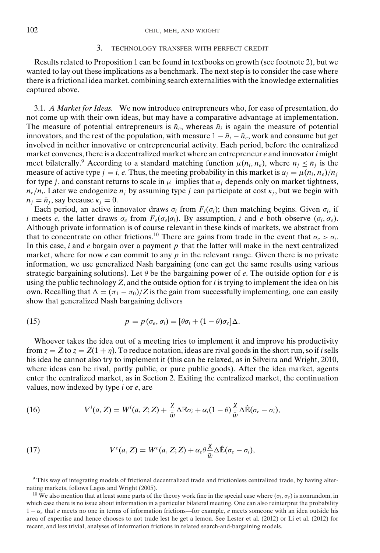### 3. TECHNOLOGY TRANSFER WITH PERFECT CREDIT

Results related to Proposition 1 can be found in textbooks on growth (see footnote 2), but we wanted to lay out these implications as a benchmark. The next step is to consider the case where there is a frictional idea market, combining search externalities with the knowledge externalities captured above.

3.1. *A Market for Ideas.* We now introduce entrepreneurs who, for ease of presentation, do not come up with their own ideas, but may have a comparative advantage at implementation. The measure of potential entrepreneurs is  $\bar{n}_e$ , whereas  $\bar{n}_i$  is again the measure of potential innovators, and the rest of the population, with measure  $1 - \bar{n}_i - \bar{n}_e$ , work and consume but get involved in neither innovative or entrepreneurial activity. Each period, before the centralized market convenes, there is a decentralized market where an entrepreneur *e* and innovator*i* might meet bilaterally.<sup>9</sup> According to a standard matching function  $\mu(n_i, n_e)$ , where  $n_i \leq \bar{n}_i$  is the measure of active type  $j = i$ ,  $e$ . Thus, the meeting probability in this market is  $\alpha_j = \mu(n_i, n_e)/n_j$ for type *j*, and constant returns to scale in  $\mu$  implies that  $\alpha_i$  depends only on market tightness,  $n_e/n_i$ . Later we endogenize  $n_i$  by assuming type *j* can participate at cost  $\kappa_i$ , but we begin with  $n_i = \bar{n}_i$ , say because  $\kappa_i = 0$ .

Each period, an active innovator draws  $\sigma_i$  from  $F_i(\sigma_i)$ ; then matching begins. Given  $\sigma_i$ , if *i* meets *e*, the latter draws  $\sigma_e$  from  $F_e(\sigma_e|\sigma_i)$ . By assumption, *i* and *e* both observe  $(\sigma_i, \sigma_e)$ . Although private information is of course relevant in these kinds of markets, we abstract from that to concentrate on other frictions.<sup>10</sup> There are gains from trade in the event that  $\sigma_e > \sigma_i$ . In this case, *i* and *e* bargain over a payment *p* that the latter will make in the next centralized market, where for now *e* can commit to any *p* in the relevant range. Given there is no private information, we use generalized Nash bargaining (one can get the same results using various strategic bargaining solutions). Let θ be the bargaining power of *e*. The outside option for *e* is using the public technology  $Z$ , and the outside option for  $i$  is trying to implement the idea on his own. Recalling that  $\Delta = (\pi_1 - \pi_0)/Z$  is the gain from successfully implementing, one can easily show that generalized Nash bargaining delivers

(15) 
$$
p = p(\sigma_e, \sigma_i) = [\theta \sigma_i + (1 - \theta) \sigma_e] \Delta.
$$

Whoever takes the idea out of a meeting tries to implement it and improve his productivity from  $z = Z$  to  $z = Z(1 + \eta)$ . To reduce notation, ideas are rival goods in the short run, so if *i* sells his idea he cannot also try to implement it (this can be relaxed, as in Silveira and Wright, 2010, where ideas can be rival, partly public, or pure public goods). After the idea market, agents enter the centralized market, as in Section 2. Exiting the centralized market, the continuation values, now indexed by type *i* or *e*, are

(16) 
$$
V^{i}(a, Z) = W^{i}(a, Z; Z) + \frac{\chi}{\bar{w}} \Delta \mathbb{E} \sigma_{i} + \alpha_{i} (1 - \theta) \frac{\chi}{\bar{w}} \Delta \hat{\mathbb{E}} (\sigma_{e} - \sigma_{i}),
$$

(17) 
$$
V^{e}(a, Z) = W^{e}(a, Z; Z) + \alpha_{e} \theta \frac{\chi}{\bar{w}} \Delta \hat{\mathbb{E}}(\sigma_{e} - \sigma_{i}),
$$

 $9$  This way of integrating models of frictional decentralized trade and frictionless centralized trade, by having alternating markets, follows Lagos and Wright (2005).

<sup>&</sup>lt;sup>10</sup> We also mention that at least some parts of the theory work fine in the special case where  $(\sigma_i, \sigma_e)$  is nonrandom, in which case there is no issue about information in a particular bilateral meeting. One can also reinterpret the probability 1 − α*<sup>e</sup>* that *e* meets no one in terms of information frictions—for example, *e* meets someone with an idea outside his area of expertise and hence chooses to not trade lest he get a lemon. See Lester et al. (2012) or Li et al. (2012) for recent, and less trivial, analyses of information frictions in related search-and-bargaining models.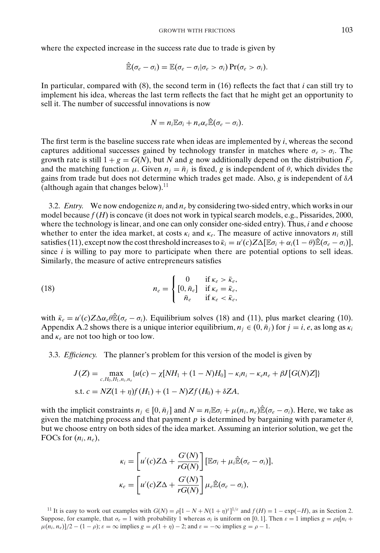where the expected increase in the success rate due to trade is given by

$$
\hat{\mathbb{E}}(\sigma_e-\sigma_i)=\mathbb{E}(\sigma_e-\sigma_i|\sigma_e>\sigma_i)\Pr(\sigma_e>\sigma_i).
$$

In particular, compared with (8), the second term in (16) reflects the fact that *i* can still try to implement his idea, whereas the last term reflects the fact that he might get an opportunity to sell it. The number of successful innovations is now

$$
N = n_i \mathbb{E} \sigma_i + n_e \alpha_e \hat{\mathbb{E}} (\sigma_e - \sigma_i).
$$

The first term is the baseline success rate when ideas are implemented by *i*, whereas the second captures additional successes gained by technology transfer in matches where  $\sigma_e > \sigma_i$ . The growth rate is still  $1 + g = G(N)$ , but N and g now additionally depend on the distribution  $F_e$ and the matching function  $\mu$ . Given  $n_j = \bar{n}_j$  is fixed, g is independent of  $\theta$ , which divides the gains from trade but does not determine which trades get made. Also, *g* is independent of δ*A* (although again that changes below). $11$ 

3.2. *Entry.* We now endogenize  $n_i$  and  $n_e$  by considering two-sided entry, which works in our model because  $f(H)$  is concave (it does not work in typical search models, e.g., Pissarides, 2000, where the technology is linear, and one can only consider one-sided entry). Thus, *i* and *e* choose whether to enter the idea market, at costs  $\kappa_i$  and  $\kappa_e$ . The measure of active innovators  $n_i$  still satisfies (11), except now the cost threshold increases to  $\bar{\kappa}_i = u'(c)Z\Delta[\mathbb{E}\sigma_i + \alpha_i(1-\theta)\hat{\mathbb{E}}(\sigma_e - \sigma_i)],$ since *i* is willing to pay more to participate when there are potential options to sell ideas. Similarly, the measure of active entrepreneurs satisfies

(18) 
$$
n_e = \begin{cases} 0 & \text{if } \kappa_e > \bar{\kappa}_e, \\ [0, \bar{n}_e] & \text{if } \kappa_e = \bar{\kappa}_e, \\ \bar{n}_e & \text{if } \kappa_e < \bar{\kappa}_e, \end{cases}
$$

with  $\bar{\kappa}_e = u'(c) Z \Delta \alpha_e \theta \hat{\mathbb{E}} (\sigma_e - \sigma_i)$ . Equilibrium solves (18) and (11), plus market clearing (10). Appendix A.2 shows there is a unique interior equilibrium,  $n_i \in (0, \bar{n}_i)$  for  $j = i$ , *e*, as long as  $\kappa_i$ and  $\kappa_e$  are not too high or too low.

3.3. *Efficiency.* The planner's problem for this version of the model is given by

$$
J(Z) = \max_{c, H_0, H_1, n_i, n_e} \{u(c) - \chi[NH_1 + (1 - N)H_0] - \kappa_i n_i - \kappa_e n_e + \beta J[G(N)Z]\}
$$
  
s.t.  $c = NZ(1 + \eta)f(H_1) + (1 - N)Zf(H_0) + \delta ZA$ ,

with the implicit constraints  $n_i \in [0, \bar{n}_i]$  and  $N = n_i \mathbb{E} \sigma_i + \mu(n_i, n_e) \mathbb{E} (\sigma_e - \sigma_i)$ . Here, we take as given the matching process and that payment *p* is determined by bargaining with parameter  $\theta$ , but we choose entry on both sides of the idea market. Assuming an interior solution, we get the FOCs for  $(n_i, n_e)$ ,

$$
\kappa_i = \left[ u'(c)Z\Delta + \frac{G'(N)}{rG(N)} \right] [\mathbb{E}\sigma_i + \mu_i \hat{\mathbb{E}}(\sigma_e - \sigma_i)],
$$
  

$$
\kappa_e = \left[ u'(c)Z\Delta + \frac{G'(N)}{rG(N)} \right] \mu_e \hat{\mathbb{E}}(\sigma_e - \sigma_i),
$$

<sup>11</sup> It is easy to work out examples with  $G(N) = \rho[1 - N + N(1 + \eta)^{\epsilon}]^{1/\epsilon}$  and  $f(H) = 1 - \exp(-H)$ , as in Section 2. Suppose, for example, that  $\sigma_e = 1$  with probability 1 whereas  $\sigma_i$  is uniform on [0, 1]. Then  $\varepsilon = 1$  implies  $g = \rho \eta [n_i + 1]$  $\mu(n_i, n_e)/2 - (1 - \rho)$ ;  $\varepsilon = \infty$  implies  $g = \rho(1 + \eta) - 2$ ; and  $\varepsilon = -\infty$  implies  $g = \rho - 1$ .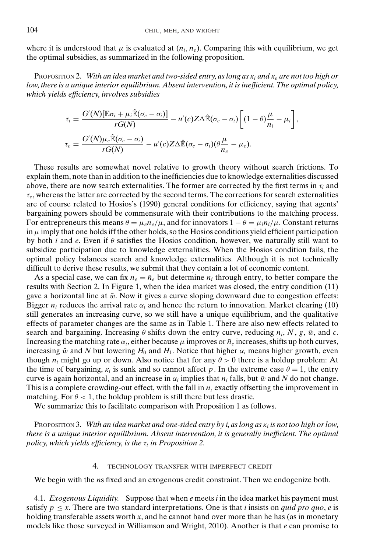where it is understood that  $\mu$  is evaluated at  $(n_i, n_e)$ . Comparing this with equilibrium, we get the optimal subsidies, as summarized in the following proposition.

PROPOSITION 2. *With an idea market and two-sided entry, as long as* κ*<sup>i</sup> and* κ*<sup>e</sup> are not too high or low, there is a unique interior equilibrium. Absent intervention, it is inefficient. The optimal policy, which yields efficiency, involves subsidies*

$$
\tau_i = \frac{G'(N)[\mathbb{E}\sigma_i + \mu_i \hat{\mathbb{E}}(\sigma_e - \sigma_i)]}{rG(N)} - u'(c)Z\Delta \hat{\mathbb{E}}(\sigma_e - \sigma_i) \left[ (1 - \theta)\frac{\mu}{n_i} - \mu_i \right],
$$
  

$$
\tau_e = \frac{G'(N)\mu_e \hat{\mathbb{E}}(\sigma_e - \sigma_i)}{rG(N)} - u'(c)Z\Delta \hat{\mathbb{E}}(\sigma_e - \sigma_i)(\theta \frac{\mu}{n_e} - \mu_e).
$$

These results are somewhat novel relative to growth theory without search frictions. To explain them, note than in addition to the inefficiencies due to knowledge externalities discussed above, there are now search externalities. The former are corrected by the first terms in  $\tau_i$  and τ*e*, whereas the latter are corrected by the second terms. The corrections for search externalities are of course related to Hosios's (1990) general conditions for efficiency, saying that agents' bargaining powers should be commensurate with their contributions to the matching process. For entrepreneurs this means  $\theta = \mu_e n_e / \mu$ , and for innovators  $1 - \theta = \mu_i n_i / \mu$ . Constant returns in  $\mu$  imply that one holds iff the other holds, so the Hosios conditions yield efficient participation by both *i* and *e*. Even if θ satisfies the Hosios condition, however, we naturally still want to subsidize participation due to knowledge externalities. When the Hosios condition fails, the optimal policy balances search and knowledge externalities. Although it is not technically difficult to derive these results, we submit that they contain a lot of economic content.

As a special case, we can fix  $n_e = \bar{n}_e$  but determine  $n_i$  through entry, to better compare the results with Section 2. In Figure 1, when the idea market was closed, the entry condition (11) gave a horizontal line at  $\bar{w}$ . Now it gives a curve sloping downward due to congestion effects: Bigger  $n_i$  reduces the arrival rate  $\alpha_i$  and hence the return to innovation. Market clearing (10) still generates an increasing curve, so we still have a unique equilibrium, and the qualitative effects of parameter changes are the same as in Table 1. There are also new effects related to search and bargaining. Increasing  $\theta$  shifts down the entry curve, reducing  $n_i$ ,  $N$ ,  $g$ ,  $\bar{w}$ , and  $c$ . Increasing the matching rate  $\alpha_i$ , either because  $\mu$  improves or  $\bar{n}_e$  increases, shifts up both curves, increasing  $\bar{w}$  and *N* but lowering  $H_0$  and  $H_1$ . Notice that higher  $\alpha_i$  means higher growth, even though  $n_i$  might go up or down. Also notice that for any  $\theta > 0$  there is a holdup problem: At the time of bargaining,  $\kappa_i$  is sunk and so cannot affect p. In the extreme case  $\theta = 1$ , the entry curve is again horizontal, and an increase in  $\alpha_i$  implies that  $n_i$  falls, but  $\bar{w}$  and  $N$  do not change. This is a complete crowding-out effect, with the fall in  $n_i$  exactly offsetting the improvement in matching. For  $\theta$  < 1, the holdup problem is still there but less drastic.

We summarize this to facilitate comparison with Proposition 1 as follows.

PROPOSITION 3. *With an idea market and one-sided entry by i, as long as* κ*<sup>i</sup> is not too high or low, there is a unique interior equilibrium. Absent intervention, it is generally inefficient. The optimal policy, which yields efficiency, is the* τ*<sup>i</sup> in Proposition 2.*

#### 4. TECHNOLOGY TRANSFER WITH IMPERFECT CREDIT

We begin with the *n*s fixed and an exogenous credit constraint. Then we endogenize both.

4.1. *Exogenous Liquidity.* Suppose that when *e* meets *i* in the idea market his payment must satisfy  $p \leq x$ . There are two standard interpretations. One is that *i* insists on *quid pro quo, e* is holding transferable assets worth *x*, and he cannot hand over more than he has (as in monetary models like those surveyed in Williamson and Wright, 2010). Another is that *e* can promise to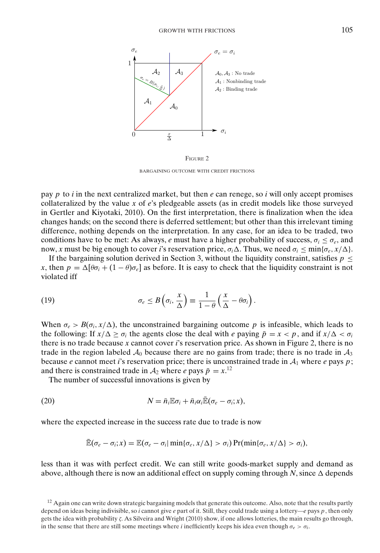

BARGAINING OUTCOME WITH CREDIT FRICTIONS

pay *p* to *i* in the next centralized market, but then *e* can renege, so *i* will only accept promises collateralized by the value *x* of *e*'s pledgeable assets (as in credit models like those surveyed in Gertler and Kiyotaki, 2010). On the first interpretation, there is finalization when the idea changes hands; on the second there is deferred settlement; but other than this irrelevant timing difference, nothing depends on the interpretation. In any case, for an idea to be traded, two conditions have to be met: As always, *e* must have a higher probability of success,  $\sigma_i \leq \sigma_e$ , and now, *x* must be big enough to cover *i*'s reservation price,  $\sigma_i \Delta$ . Thus, we need  $\sigma_i \leq \min{\{\sigma_e, x/\Delta\}}$ .

If the bargaining solution derived in Section 3, without the liquidity constraint, satisfies  $p \leq$ *x*, then  $p = \Delta[\theta \sigma_i + (1 - \theta) \sigma_e]$  as before. It is easy to check that the liquidity constraint is not violated iff

(19) 
$$
\sigma_e \leq B\left(\sigma_i, \frac{x}{\Delta}\right) \equiv \frac{1}{1-\theta}\left(\frac{x}{\Delta} - \theta \sigma_i\right).
$$

When  $\sigma_e > B(\sigma_i, x/\Delta)$ , the unconstrained bargaining outcome p is infeasible, which leads to the following: If  $x/\Delta \ge \sigma_i$  the agents close the deal with *e* paying  $\bar{p} = x < p$ , and if  $x/\Delta < \sigma_i$ there is no trade because *x* cannot cover *i*'s reservation price. As shown in Figure 2, there is no trade in the region labeled  $A_0$  because there are no gains from trade; there is no trade in  $A_3$ because *e* cannot meet *i*'s reservation price; there is unconstrained trade in  $A_1$  where *e* pays *p*; and there is constrained trade in  $A_2$  where *e* pays  $\bar{p} = x^{12}$ 

The number of successful innovations is given by

(20) 
$$
N = \bar{n}_i \mathbb{E} \sigma_i + \bar{n}_i \alpha_i \bar{\mathbb{E}} (\sigma_e - \sigma_i; x),
$$

where the expected increase in the success rate due to trade is now

$$
\bar{\mathbb{E}}(\sigma_e-\sigma_i;x)=\mathbb{E}(\sigma_e-\sigma_i|\min{\{\sigma_e,x/\Delta\}}>\sigma_i)\Pr(\min{\{\sigma_e,x/\Delta\}}>\sigma_i),
$$

less than it was with perfect credit. We can still write goods-market supply and demand as above, although there is now an additional effect on supply coming through  $N$ , since  $\Delta$  depends

<sup>&</sup>lt;sup>12</sup> Again one can write down strategic bargaining models that generate this outcome. Also, note that the results partly depend on ideas being indivisible, so *i* cannot give *e* part of it. Still, they could trade using a lottery—*e* pays *p*, then only gets the idea with probability ζ. As Silveira and Wright (2010) show, if one allows lotteries, the main results go through, in the sense that there are still some meetings where *i* inefficiently keeps his idea even though  $\sigma_e > \sigma_i$ .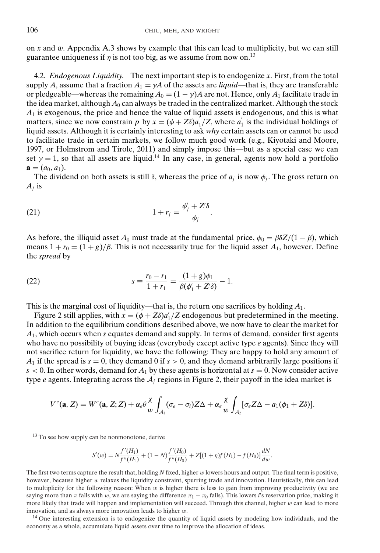on  $x$  and  $\bar{w}$ . Appendix A.3 shows by example that this can lead to multiplicity, but we can still guarantee uniqueness if  $\eta$  is not too big, as we assume from now on.<sup>13</sup>

4.2. *Endogenous Liquidity.* The next important step is to endogenize *x*. First, from the total supply *A*, assume that a fraction  $A_1 = \gamma A$  of the assets are *liquid*—that is, they are transferable or pledgeable—whereas the remaining  $A_0 = (1 - \gamma)A$  are not. Hence, only  $A_1$  facilitate trade in the idea market, although  $A_0$  can always be traded in the centralized market. Although the stock *A*<sup>1</sup> is exogenous, the price and hence the value of liquid assets is endogenous, and this is what matters, since we now constrain *p* by  $x = (\phi + Z\delta)a_1/Z$ , where  $a_1'$  is the individual holdings of liquid assets. Although it is certainly interesting to ask *why* certain assets can or cannot be used to facilitate trade in certain markets, we follow much good work (e.g., Kiyotaki and Moore, 1997, or Holmstrom and Tirole, 2011) and simply impose this—but as a special case we can set  $\gamma = 1$ , so that all assets are liquid.<sup>14</sup> In any case, in general, agents now hold a portfolio  $\mathbf{a} = (a_0, a_1).$ 

The dividend on both assets is still  $\delta$ , whereas the price of  $a_i$  is now  $\phi_i$ . The gross return on  $A_i$  is

(21) 
$$
1 + r_j = \frac{\phi'_j + Z'\delta}{\phi_j}.
$$

As before, the illiquid asset  $A_0$  must trade at the fundamental price,  $\phi_0 = \beta \delta Z/(1 - \beta)$ , which means  $1 + r_0 = (1 + g)/\beta$ . This is not necessarily true for the liquid asset  $A_1$ , however. Define the *spread* by

(22) 
$$
s = \frac{r_0 - r_1}{1 + r_1} = \frac{(1 + g)\phi_1}{\beta(\phi_1' + Z'\delta)} - 1.
$$

This is the marginal cost of liquidity—that is, the return one sacrifices by holding *A*1.

Figure 2 still applies, with  $x = (\phi + Z\delta)a'_1/Z$  endogenous but predetermined in the meeting. In addition to the equilibrium conditions described above, we now have to clear the market for *A*1, which occurs when *s* equates demand and supply. In terms of demand, consider first agents who have no possibility of buying ideas (everybody except active type *e* agents). Since they will not sacrifice return for liquidity, we have the following: They are happy to hold any amount of  $A_1$  if the spread is  $s = 0$ , they demand 0 if  $s > 0$ , and they demand arbitrarily large positions if  $s < 0$ . In other words, demand for  $A_1$  by these agents is horizontal at  $s = 0$ . Now consider active type *e* agents. Integrating across the *A<sup>j</sup>* regions in Figure 2, their payoff in the idea market is

$$
V^e(\mathbf{a},Z)=W^e(\mathbf{a},Z;Z)+\alpha_e\theta\frac{\chi}{w}\int_{\mathcal{A}_1}(\sigma_e-\sigma_i)Z\Delta+\alpha_e\frac{\chi}{w}\int_{\mathcal{A}_2}[\sigma_eZ\Delta-a_1(\phi_1+Z\delta)].
$$

<sup>13</sup> To see how supply can be nonmonotone, derive

$$
S'(w) = N \frac{f'(H_1)}{f''(H_1)} + (1 - N) \frac{f'(H_0)}{f''(H_0)} + Z[(1 + \eta)f(H_1) - f(H_0)]\frac{dN}{dw}.
$$

The first two terms capture the result that, holding *N* fixed, higher w lowers hours and output. The final term is positive, however, because higher w relaxes the liquidity constraint, spurring trade and innovation. Heuristically, this can lead to multiplicity for the following reason: When  $w$  is higher there is less to gain from improving productivity (we are saying more than  $\pi$  falls with w, we are saying the difference  $\pi_1 - \pi_0$  falls). This lowers *i*'s reservation price, making it more likely that trade will happen and implementation will succeed. Through this channel, higher  $w$  can lead to more innovation, and as always more innovation leads to higher w.

<sup>14</sup> One interesting extension is to endogenize the quantity of liquid assets by modeling how individuals, and the economy as a whole, accumulate liquid assets over time to improve the allocation of ideas.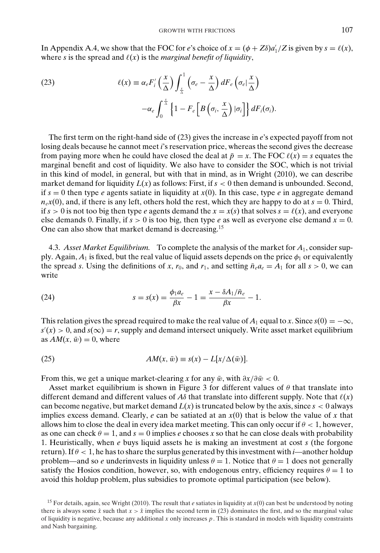In Appendix A.4, we show that the FOC for *e*'s choice of  $x = (\phi + Z\delta)a'_1/Z$  is given by  $s = \ell(x)$ , where *s* is the spread and  $\ell(x)$  is the *marginal benefit of liquidity*,

(23) 
$$
\ell(x) \equiv \alpha_e F_i' \left(\frac{x}{\Delta}\right) \int_{\frac{x}{\Delta}}^1 \left(\sigma_e - \frac{x}{\Delta}\right) dF_e \left(\sigma_e \Big| \frac{x}{\Delta}\right) -\alpha_e \int_0^{\frac{x}{\Delta}} \left\{1 - F_e \left[B\left(\sigma_i, \frac{x}{\Delta}\right) | \sigma_i\right]\right\} dF_i(\sigma_i).
$$

The first term on the right-hand side of (23) gives the increase in *e*'s expected payoff from not losing deals because he cannot meet *i*'s reservation price, whereas the second gives the decrease from paying more when he could have closed the deal at  $\bar{p} = x$ . The FOC  $\ell(x) = s$  equates the marginal benefit and cost of liquidity. We also have to consider the SOC, which is not trivial in this kind of model, in general, but with that in mind, as in Wright (2010), we can describe market demand for liquidity  $L(x)$  as follows: First, if  $s < 0$  then demand is unbounded. Second, if  $s = 0$  then type *e* agents satiate in liquidity at  $x(0)$ . In this case, type *e* in aggregate demand  $n_e x(0)$ , and, if there is any left, others hold the rest, which they are happy to do at  $s = 0$ . Third, if  $s > 0$  is not too big then type *e* agents demand the  $x = x(s)$  that solves  $s = \ell(x)$ , and everyone else demands 0. Finally, if  $s > 0$  is too big, then type *e* as well as everyone else demand  $x = 0$ . One can also show that market demand is decreasing.<sup>15</sup>

4.3. *Asset Market Equilibrium.* To complete the analysis of the market for *A*1, consider supply. Again,  $A_1$  is fixed, but the real value of liquid assets depends on the price  $\phi_1$  or equivalently the spread *s*. Using the definitions of *x*,  $r_0$ , and  $r_1$ , and setting  $\bar{n}_e a_e = A_1$  for all  $s > 0$ , we can write

(24) 
$$
s = s(x) = \frac{\phi_1 a_e}{\beta x} - 1 = \frac{x - \delta A_1 / \bar{n}_e}{\beta x} - 1.
$$

This relation gives the spread required to make the real value of  $A_1$  equal to *x*. Since  $s(0) = -\infty$ ,  $s'(x) > 0$ , and  $s(\infty) = r$ , supply and demand intersect uniquely. Write asset market equilibrium as  $AM(x, \bar{w}) = 0$ , where

(25) 
$$
AM(x, \bar{w}) \equiv s(x) - L[x/\Delta(\bar{w})].
$$

From this, we get a unique market-clearing *x* for any  $\bar{w}$ , with  $\partial x/\partial \bar{w} < 0$ .

Asset market equilibrium is shown in Figure 3 for different values of  $\theta$  that translate into different demand and different values of  $A\delta$  that translate into different supply. Note that  $\ell(x)$ can become negative, but market demand  $L(x)$  is truncated below by the axis, since  $s < 0$  always implies excess demand. Clearly,  $e$  can be satiated at an  $x(0)$  that is below the value of  $x$  that allows him to close the deal in every idea market meeting. This can only occur if  $\theta$  < 1, however, as one can check  $\theta = 1$ , and  $s = 0$  implies *e* chooses *x* so that he can close deals with probability 1. Heuristically, when *e* buys liquid assets he is making an investment at cost *s* (the forgone return). If θ < 1, he has to share the surplus generated by this investment with *i*—another holdup problem—and so *e* underinvests in liquidity unless  $\theta = 1$ . Notice that  $\theta = 1$  does not generally satisfy the Hosios condition, however, so, with endogenous entry, efficiency requires  $\theta = 1$  to avoid this holdup problem, plus subsidies to promote optimal participation (see below).

<sup>&</sup>lt;sup>15</sup> For details, again, see Wright (2010). The result that *e* satiates in liquidity at  $x(0)$  can best be understood by noting there is always some  $\hat{x}$  such that  $x > \hat{x}$  implies the second term in (23) dominates the first, and so the marginal value of liquidity is negative, because any additional  $x$  only increases  $p$ . This is standard in models with liquidity constraints and Nash bargaining.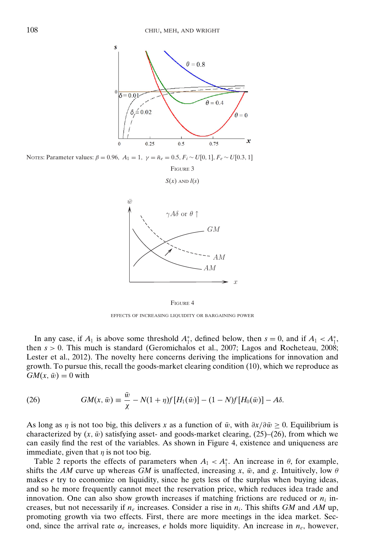

NOTES: Parameter values:  $\beta = 0.96$ ,  $A_1 = 1$ ,  $\gamma = \bar{n}_e = 0.5$ ,  $F_i \sim U[0, 1]$ ,  $F_e \sim U[0.3, 1]$ 

FIGURE 3

 $S(x)$  AND  $l(s)$ 



FIGURE 4

EFFECTS OF INCREASING LIQUIDITY OR BARGAINING POWER

In any case, if  $A_1$  is above some threshold  $A_1^*$ , defined below, then  $s = 0$ , and if  $A_1 < A_1^*$ , then *s* > 0. This much is standard (Geromichalos et al., 2007; Lagos and Rocheteau, 2008; Lester et al., 2012). The novelty here concerns deriving the implications for innovation and growth. To pursue this, recall the goods-market clearing condition (10), which we reproduce as  $GM(x, \bar{w}) = 0$  with

(26) 
$$
GM(x, \bar{w}) = \frac{\bar{w}}{\chi} - N(1 + \eta)f[H_1(\bar{w})] - (1 - N)f[H_0(\bar{w})] - A\delta.
$$

As long as  $\eta$  is not too big, this delivers *x* as a function of  $\bar{w}$ , with  $\partial x/\partial \bar{w} \ge 0$ . Equilibrium is characterized by  $(x, \bar{w})$  satisfying asset- and goods-market clearing,  $(25)$ – $(26)$ , from which we can easily find the rest of the variables. As shown in Figure 4, existence and uniqueness are immediate, given that  $\eta$  is not too big.

Table 2 reports the effects of parameters when  $A_1 < A_1^*$ . An increase in  $\theta$ , for example, shifts the *AM* curve up whereas *GM* is unaffected, increasing  $x$ ,  $\bar{w}$ , and *g*. Intuitively, low  $\theta$ makes *e* try to economize on liquidity, since he gets less of the surplus when buying ideas, and so he more frequently cannot meet the reservation price, which reduces idea trade and innovation. One can also show growth increases if matching frictions are reduced or *ni* increases, but not necessarily if *ne* increases. Consider a rise in *ni*. This shifts *GM* and *AM* up, promoting growth via two effects. First, there are more meetings in the idea market. Second, since the arrival rate  $\alpha_e$  increases, *e* holds more liquidity. An increase in  $n_e$ , however,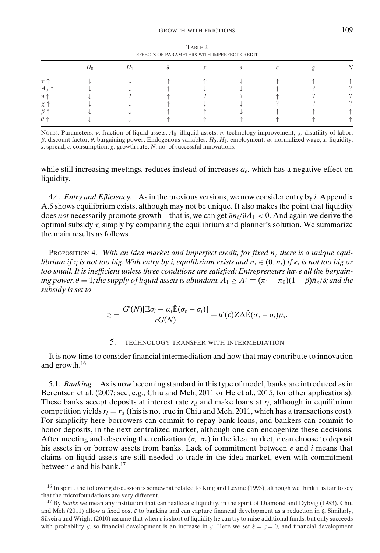### GROWTH WITH FRICTIONS 109

|                 | EFFECTS OF PARAMETERS WITH IMPERFECT CREDIT |    |           |                  |  |  |  |
|-----------------|---------------------------------------------|----|-----------|------------------|--|--|--|
|                 | $H_0$                                       | H1 | $\bar{u}$ | $\boldsymbol{x}$ |  |  |  |
| $\nu$ 1         |                                             |    |           |                  |  |  |  |
| $A_0$           |                                             |    |           |                  |  |  |  |
| $\eta$ 1        |                                             |    |           |                  |  |  |  |
| $\chi$ $\prime$ |                                             |    |           |                  |  |  |  |
|                 |                                             |    |           |                  |  |  |  |
| $\theta$ 1      |                                             |    |           |                  |  |  |  |

TABLE 2 EFFECTS OF PARAMETERS WITH IMPERFECT CREDIT

NOTES: Parameters:  $\gamma$ : fraction of liquid assets, *A*<sub>0</sub>: illiquid assets, *η*: technology improvement,  $\chi$ : disutility of labor, β: discount factor, θ: bargaining power; Endogenous variables:  $H_0$ ,  $H_1$ : employment,  $\bar{w}$ : normalized wage, x: liquidity, *s*: spread, *c*: consumption, *g*: growth rate, *N*: no. of successful innovations.

while still increasing meetings, reduces instead of increases  $\alpha_e$ , which has a negative effect on liquidity.

4.4. *Entry and Efficiency.* As in the previous versions, we now consider entry by *i*. Appendix A.5 shows equilibrium exists, although may not be unique. It also makes the point that liquidity does *not* necessarily promote growth—that is, we can get ∂*ni*/∂*A*<sup>1</sup> < 0. And again we derive the optimal subsidy  $\tau_i$  simply by comparing the equilibrium and planner's solution. We summarize the main results as follows.

PROPOSITION 4. With an idea market and imperfect credit, for fixed  $n_j$  there is a unique equi*librium if*  $\eta$  *is not too big. With entry by i, equilibrium exists and*  $n_i \in (0, \bar{n}_i)$  *if*  $\kappa_i$  *is not too big or too small. It is inefficient unless three conditions are satisfied: Entrepreneurs have all the bargain-* $\hat{a}$  *ing power,*  $\theta = 1$ ; the supply of liquid assets is abundant,  $A_1 \ge A_1^* \equiv (\pi_1 - \pi_0)(1 - \beta)\bar{n}_e/8$ ; and the *subsidy is set to*

$$
\tau_i = \frac{G'(N)[\mathbb{E}\sigma_i + \mu_i \hat{\mathbb{E}}(\sigma_e - \sigma_i)]}{rG(N)} + u'(c)Z\Delta \hat{\mathbb{E}}(\sigma_e - \sigma_i)\mu_i.
$$

# 5. TECHNOLOGY TRANSFER WITH INTERMEDIATION

It is now time to consider financial intermediation and how that may contribute to innovation and growth.<sup>16</sup>

5.1. *Banking.* As is now becoming standard in this type of model, banks are introduced as in Berentsen et al. (2007; see, e.g., Chiu and Meh, 2011 or He et al., 2015, for other applications). These banks accept deposits at interest rate  $r_d$  and make loans at  $r_l$ , although in equilibrium competition yields  $r_l = r_d$  (this is not true in Chiu and Meh, 2011, which has a transactions cost). For simplicity here borrowers can commit to repay bank loans, and bankers can commit to honor deposits, in the next centralized market, although one can endogenize these decisions. After meeting and observing the realization ( $\sigma_i$ ,  $\sigma_e$ ) in the idea market, *e* can choose to deposit his assets in or borrow assets from banks. Lack of commitment between *e* and *i* means that claims on liquid assets are still needed to trade in the idea market, even with commitment between *e* and his bank.17

<sup>&</sup>lt;sup>16</sup> In spirit, the following discussion is somewhat related to King and Levine (1993), although we think it is fair to say that the microfoundations are very different.

<sup>17</sup> By *banks* we mean any institution that can reallocate liquidity, in the spirit of Diamond and Dybvig (1983). Chiu and Meh (2011) allow a fixed cost  $\xi$  to banking and can capture financial development as a reduction in  $\xi$ . Similarly, Silveira and Wright (2010) assume that when *e* is short of liquidity he can try to raise additional funds, but only succeeds with probability  $\varsigma$ , so financial development is an increase in  $\varsigma$ . Here we set  $\xi = \varsigma = 0$ , and financial development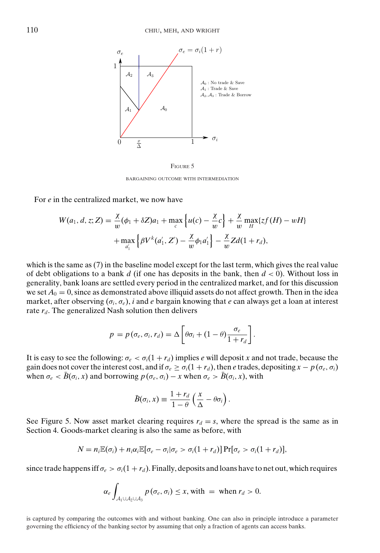

BARGAINING OUTCOME WITH INTERMEDIATION

For *e* in the centralized market, we now have

$$
W(a_1, d, z; Z) = \frac{\chi}{w}(\phi_1 + \delta Z)a_1 + \max_{c} \left\{ u(c) - \frac{\chi}{w}c \right\} + \frac{\chi}{w} \max_{H} \{zf(H) - wH\} + \max_{a'_1} \left\{ \beta V^k(a'_1, Z') - \frac{\chi}{w} \phi_1 a'_1 \right\} - \frac{\chi}{w} Zd(1 + r_d),
$$

which is the same as (7) in the baseline model except for the last term, which gives the real value of debt obligations to a bank *d* (if one has deposits in the bank, then  $d < 0$ ). Without loss in generality, bank loans are settled every period in the centralized market, and for this discussion we set  $A_0 = 0$ , since as demonstrated above illiquid assets do not affect growth. Then in the idea market, after observing  $(\sigma_i, \sigma_e)$ , *i* and *e* bargain knowing that *e* can always get a loan at interest rate *rd*. The generalized Nash solution then delivers

$$
p = p(\sigma_e, \sigma_i, r_d) = \Delta \left[ \theta \sigma_i + (1 - \theta) \frac{\sigma_e}{1 + r_d} \right].
$$

It is easy to see the following:  $\sigma_e < \sigma_i(1 + r_d)$  implies *e* will deposit *x* and not trade, because the gain does not cover the interest cost, and if  $\sigma_e \geq \sigma_i(1 + r_d)$ , then *e* trades, depositing  $x - p(\sigma_e, \sigma_i)$ when  $\sigma_e < \bar{B}(\sigma_i, x)$  and borrowing  $p(\sigma_e, \sigma_i) - x$  when  $\sigma_e > \bar{B}(\sigma_i, x)$ , with

$$
\bar{B}(\sigma_i,x)\equiv\frac{1+r_d}{1-\theta}\left(\frac{x}{\Delta}-\theta\sigma_i\right).
$$

See Figure 5. Now asset market clearing requires  $r_d = s$ , where the spread is the same as in Section 4. Goods-market clearing is also the same as before, with

$$
N = n_i \mathbb{E}(\sigma_i) + n_i \alpha_i \mathbb{E}[\sigma_e - \sigma_i | \sigma_e > \sigma_i (1 + r_d)] \Pr[\sigma_e > \sigma_i (1 + r_d)],
$$

since trade happens iff  $\sigma_e > \sigma_i(1 + r_d)$ . Finally, deposits and loans have to net out, which requires

$$
\alpha_e \int_{\mathcal{A}_1 \cup \mathcal{A}_2 \cup \mathcal{A}_3} p(\sigma_e, \sigma_i) \leq x, \text{ with } = \text{ when } r_d > 0.
$$

is captured by comparing the outcomes with and without banking. One can also in principle introduce a parameter governing the efficiency of the banking sector by assuming that only a fraction of agents can access banks.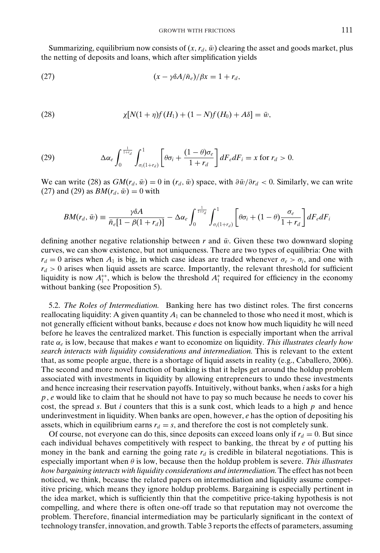Summarizing, equilibrium now consists of  $(x, r_d, \bar{w})$  clearing the asset and goods market, plus the netting of deposits and loans, which after simplification yields

(27) (*x* − γδ*A*/*n*¯ *<sup>e</sup>*)/β*x* = 1 + *rd*,

(28) 
$$
\chi[N(1+\eta)f(H_1)+(1-N)f(H_0)+A\delta]=\bar{w},
$$

(29) 
$$
\Delta \alpha_e \int_0^{\frac{1}{1+r_d}} \int_{\sigma_i(1+r_d)}^1 \left[ \theta \sigma_i + \frac{(1-\theta)\sigma_e}{1+r_d} \right] dF_e dF_i = x \text{ for } r_d > 0.
$$

We can write (28) as  $GM(r_d, \bar{w}) = 0$  in  $(r_d, \bar{w})$  space, with  $\frac{\partial \bar{w}}{\partial r_d} < 0$ . Similarly, we can write (27) and (29) as  $BM(r_d, \bar{w}) = 0$  with

$$
BM(r_d, \bar{w}) \equiv \frac{\gamma \delta A}{\bar{n}_e [1 - \beta (1 + r_d)]} - \Delta \alpha_e \int_0^{\frac{1}{1 + r_d}} \int_{\sigma_i (1 + r_d)}^1 \left[ \theta \sigma_i + (1 - \theta) \frac{\sigma_e}{1 + r_d} \right] dF_e dF_i
$$

defining another negative relationship between  $r$  and  $\bar{w}$ . Given these two downward sloping curves, we can show existence, but not uniqueness. There are two types of equilibria: One with  $r_d = 0$  arises when  $A_1$  is big, in which case ideas are traded whenever  $\sigma_e > \sigma_i$ , and one with  $r_d > 0$  arises when liquid assets are scarce. Importantly, the relevant threshold for sufficient liquidity is now  $A_1^{**}$ , which is below the threshold  $A_1^*$  required for efficiency in the economy without banking (see Proposition 5).

5.2. *The Roles of Intermediation.* Banking here has two distinct roles. The first concerns reallocating liquidity: A given quantity  $A_1$  can be channeled to those who need it most, which is not generally efficient without banks, because *e* does not know how much liquidity he will need before he leaves the centralized market. This function is especially important when the arrival rate α*<sup>e</sup>* is low, because that makes *e* want to economize on liquidity. *This illustrates clearly how search interacts with liquidity considerations and intermediation.* This is relevant to the extent that, as some people argue, there is a shortage of liquid assets in reality (e.g., Caballero, 2006). The second and more novel function of banking is that it helps get around the holdup problem associated with investments in liquidity by allowing entrepreneurs to undo these investments and hence increasing their reservation payoffs. Intuitively, without banks, when *i* asks for a high *p*, *e* would like to claim that he should not have to pay so much because he needs to cover his cost, the spread *s*. But *i* counters that this is a sunk cost, which leads to a high *p* and hence underinvestment in liquidity. When banks are open, however, *e* has the option of depositing his assets, which in equilibrium earns  $r_d = s$ , and therefore the cost is not completely sunk.

Of course, not everyone can do this, since deposits can exceed loans only if  $r_d = 0$ . But since each individual behaves competitively with respect to banking, the threat by *e* of putting his money in the bank and earning the going rate  $r_d$  is credible in bilateral negotiations. This is especially important when θ is low, because then the holdup problem is severe. *This illustrates how bargaining interacts with liquidity considerations and intermediation.*The effect has not been noticed, we think, because the related papers on intermediation and liquidity assume competitive pricing, which means they ignore holdup problems. Bargaining is especially pertinent in the idea market, which is sufficiently thin that the competitive price-taking hypothesis is not compelling, and where there is often one-off trade so that reputation may not overcome the problem. Therefore, financial intermediation may be particularly significant in the context of technology transfer, innovation, and growth. Table 3 reports the effects of parameters, assuming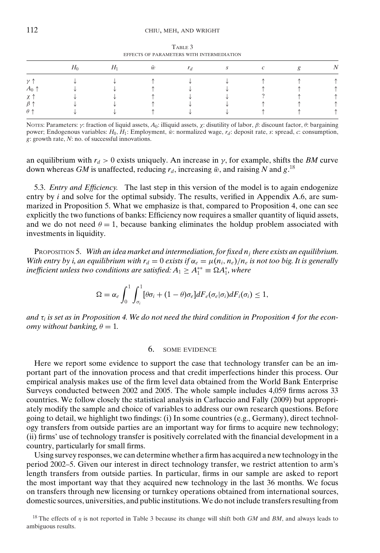| TABLE 3                                   |
|-------------------------------------------|
| EFFECTS OF PARAMETERS WITH INTERMEDIATION |

|                   | $H_0$        | $H_1$        | $\bar{w}$ | $r_d$                         | S            | $\mathcal{C}$ | g | $\boldsymbol{N}$ |
|-------------------|--------------|--------------|-----------|-------------------------------|--------------|---------------|---|------------------|
| γ↑                | $\downarrow$ | $\downarrow$ |           | $\downarrow$ $\downarrow$     |              | $\uparrow$    |   | $\uparrow$       |
| $A_0$             |              | $\downarrow$ |           | and the state of the state of | $\downarrow$ |               |   | $\uparrow$       |
| $x \uparrow$      |              |              |           | $\mathbb{L}$                  |              |               |   | $\uparrow$       |
| $\beta \uparrow$  | $\downarrow$ |              |           | $\downarrow$                  | $\downarrow$ |               |   | $\uparrow$       |
| $\theta \uparrow$ |              |              |           | $\downarrow$                  | $\downarrow$ |               |   | $\uparrow$       |

NOTES: Parameters: γ: fraction of liquid assets, *A*0: illiquid assets, χ: disutility of labor, β: discount factor, θ: bargaining power; Endogenous variables:  $H_0$ ,  $H_1$ : Employment,  $\bar{w}$ : normalized wage,  $r_d$ : deposit rate, *s*: spread, *c*: consumption, *g*: growth rate, *N*: no. of successful innovations.

an equilibrium with  $r_d > 0$  exists uniquely. An increase in  $\gamma$ , for example, shifts the *BM* curve down whereas *GM* is unaffected, reducing  $r_d$ , increasing  $\bar{w}$ , and raising *N* and  $g$ .<sup>18</sup>

5.3. *Entry and Efficiency.* The last step in this version of the model is to again endogenize entry by *i* and solve for the optimal subsidy. The results, verified in Appendix A.6, are summarized in Proposition 5. What we emphasize is that, compared to Proposition 4, one can see explicitly the two functions of banks: Efficiency now requires a smaller quantity of liquid assets, and we do not need  $\theta = 1$ , because banking eliminates the holdup problem associated with investments in liquidity.

PROPOSITION 5. *With an idea market and intermediation, for fixed nj there exists an equilibrium. With entry by i, an equilibrium with*  $r_d = 0$  *exists if*  $\alpha_e = \mu(n_i, n_e)/n_e$  *is not too big. It is generally*  $\mathcal{L}$ *inefficient unless two conditions are satisfied:*  $A_1 \geq A_1^{**} \equiv \Omega A_1^*$ , where

$$
\Omega = \alpha_e \int_0^1 \int_{\sigma_i}^1 [\theta \sigma_i + (1-\theta) \sigma_e] dF_e(\sigma_e | \sigma_i) dF_i(\sigma_i) \leq 1,
$$

and  $\tau_i$  *is set as in Proposition 4. We do not need the third condition in Proposition 4 for the economy without banking,*  $\theta = 1$ *.* 

# 6. SOME EVIDENCE

Here we report some evidence to support the case that technology transfer can be an important part of the innovation process and that credit imperfections hinder this process. Our empirical analysis makes use of the firm level data obtained from the World Bank Enterprise Surveys conducted between 2002 and 2005. The whole sample includes 4,059 firms across 33 countries. We follow closely the statistical analysis in Carluccio and Fally (2009) but appropriately modify the sample and choice of variables to address our own research questions. Before going to detail, we highlight two findings: (i) In some countries (e.g., Germany), direct technology transfers from outside parties are an important way for firms to acquire new technology; (ii) firms' use of technology transfer is positively correlated with the financial development in a country, particularly for small firms.

Using survey responses, we can determine whether a firm has acquired a new technology in the period 2002–5. Given our interest in direct technology transfer, we restrict attention to arm's length transfers from outside parties. In particular, firms in our sample are asked to report the most important way that they acquired new technology in the last 36 months. We focus on transfers through new licensing or turnkey operations obtained from international sources, domestic sources, universities, and public institutions.We do not include transfers resulting from

<sup>18</sup> The effects of  $\eta$  is not reported in Table 3 because its change will shift both *GM* and *BM*, and always leads to ambiguous results.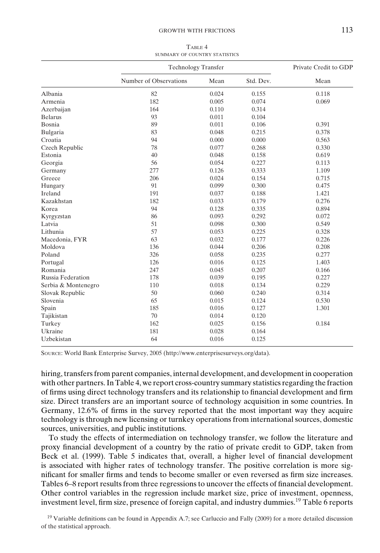#### GROWTH WITH FRICTIONS 113

#### TABLE 4 SUMMARY OF COUNTRY STATISTICS

|                     | Technology Transfer    |       |           | Private Credit to GDP |
|---------------------|------------------------|-------|-----------|-----------------------|
|                     | Number of Observations | Mean  | Std. Dev. | Mean                  |
| Albania             | 82                     | 0.024 | 0.155     | 0.118                 |
| Armenia             | 182                    | 0.005 | 0.074     | 0.069                 |
| Azerbaijan          | 164                    | 0.110 | 0.314     |                       |
| <b>Belarus</b>      | 93                     | 0.011 | 0.104     |                       |
| Bosnia              | 89                     | 0.011 | 0.106     | 0.391                 |
| Bulgaria            | 83                     | 0.048 | 0.215     | 0.378                 |
| Croatia             | 94                     | 0.000 | 0.000     | 0.563                 |
| Czech Republic      | 78                     | 0.077 | 0.268     | 0.330                 |
| Estonia             | 40                     | 0.048 | 0.158     | 0.619                 |
| Georgia             | 56                     | 0.054 | 0.227     | 0.113                 |
| Germany             | 277                    | 0.126 | 0.333     | 1.109                 |
| Greece              | 206                    | 0.024 | 0.154     | 0.715                 |
| Hungary             | 91                     | 0.099 | 0.300     | 0.475                 |
| Ireland             | 191                    | 0.037 | 0.188     | 1.421                 |
| Kazakhstan          | 182                    | 0.033 | 0.179     | 0.276                 |
| Korea               | 94                     | 0.128 | 0.335     | 0.894                 |
| Kyrgyzstan          | 86                     | 0.093 | 0.292     | 0.072                 |
| Latvia              | 51                     | 0.098 | 0.300     | 0.549                 |
| Lithunia            | 57                     | 0.053 | 0.225     | 0.328                 |
| Macedonia, FYR      | 63                     | 0.032 | 0.177     | 0.226                 |
| Moldova             | 136                    | 0.044 | 0.206     | 0.208                 |
| Poland              | 326                    | 0.058 | 0.235     | 0.277                 |
| Portugal            | 126                    | 0.016 | 0.125     | 1.403                 |
| Romania             | 247                    | 0.045 | 0.207     | 0.166                 |
| Russia Federation   | 178                    | 0.039 | 0.195     | 0.227                 |
| Serbia & Montenegro | 110                    | 0.018 | 0.134     | 0.229                 |
| Slovak Republic     | 50                     | 0.060 | 0.240     | 0.314                 |
| Slovenia            | 65                     | 0.015 | 0.124     | 0.530                 |
| Spain               | 185                    | 0.016 | 0.127     | 1.301                 |
| Tajikistan          | 70                     | 0.014 | 0.120     |                       |
| Turkey              | 162                    | 0.025 | 0.156     | 0.184                 |
| Ukraine             | 181                    | 0.028 | 0.164     |                       |
| Uzbekistan          | 64                     | 0.016 | 0.125     |                       |

SOURCE: World Bank Enterprise Survey, 2005 (http://www.enterprisesurveys.org/data).

hiring, transfers from parent companies, internal development, and development in cooperation with other partners. In Table 4, we report cross-country summary statistics regarding the fraction of firms using direct technology transfers and its relationship to financial development and firm size. Direct transfers are an important source of technology acquisition in some countries. In Germany, 12.6% of firms in the survey reported that the most important way they acquire technology is through new licensing or turnkey operations from international sources, domestic sources, universities, and public institutions.

To study the effects of intermediation on technology transfer, we follow the literature and proxy financial development of a country by the ratio of private credit to GDP, taken from Beck et al. (1999). Table 5 indicates that, overall, a higher level of financial development is associated with higher rates of technology transfer. The positive correlation is more significant for smaller firms and tends to become smaller or even reversed as firm size increases. Tables 6–8 report results from three regressions to uncover the effects of financial development. Other control variables in the regression include market size, price of investment, openness, investment level, firm size, presence of foreign capital, and industry dummies.19 Table 6 reports

 $19$  Variable definitions can be found in Appendix A.7; see Carluccio and Fally (2009) for a more detailed discussion of the statistical approach.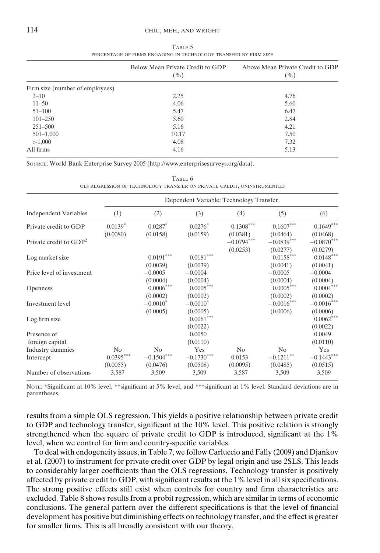# 114 CHIU, MEH, AND WRIGHT

| TABLE 5                                                          |  |
|------------------------------------------------------------------|--|
| PERCENTAGE OF FIRMS ENGAGING IN TECHNOLOGY TRANSFER BY FIRM SIZE |  |

|                                 | Below Mean Private Credit to GDP<br>( %) | Above Mean Private Credit to GDP<br>( %) |
|---------------------------------|------------------------------------------|------------------------------------------|
| Firm size (number of employees) |                                          |                                          |
| $2 - 10$                        | 2.25                                     | 4.76                                     |
| $11 - 50$                       | 4.06                                     | 5.60                                     |
| $51 - 100$                      | 5.47                                     | 6.47                                     |
| $101 - 250$                     | 5.60                                     | 2.84                                     |
| 251-500                         | 5.16                                     | 4.21                                     |
| $501 - 1,000$                   | 10.17                                    | 7.50                                     |
| >1,000                          | 4.08                                     | 7.32                                     |
| All firms                       | 4.16                                     | 5.13                                     |

SOURCE: World Bank Enterprise Survey 2005 (http://www.enterprisesurveys.org/data).

| OLS REGRESSION OF TECHNOLOGY TRANSFER ON PRIVATE CREDIT, UNINSTRUMENTED |                                         |                                     |                                        |                                     |                                     |                                     |  |  |  |
|-------------------------------------------------------------------------|-----------------------------------------|-------------------------------------|----------------------------------------|-------------------------------------|-------------------------------------|-------------------------------------|--|--|--|
|                                                                         | Dependent Variable: Technology Transfer |                                     |                                        |                                     |                                     |                                     |  |  |  |
| <b>Independent Variables</b>                                            | (1)                                     | (2)                                 | (3)                                    | (4)                                 | (5)                                 | (6)                                 |  |  |  |
| Private credit to GDP                                                   | $0.0139*$<br>(0.0080)                   | $0.0287*$<br>(0.0158)               | $0.0276*$<br>(0.0159)                  | $0.1308^{\ast\ast\ast}$<br>(0.0381) | $0.1607^{\ast\ast\ast}$<br>(0.0464) | $0.1649***$<br>(0.0468)             |  |  |  |
| Private credit to $GDP2$                                                |                                         |                                     |                                        | $-0.0794***$                        | $-0.0839***$                        | $-0.0870***$                        |  |  |  |
| Log market size                                                         |                                         | ${0.0191}^{\ast\ast\ast}$           | $0.0181^{\ast\ast\ast}$                | (0.0253)                            | (0.0277)<br>$0.0158^{\ast\ast\ast}$ | (0.0279)<br>$0.0148***$             |  |  |  |
| Price level of investment                                               |                                         | (0.0039)<br>$-0.0005$               | (0.0039)<br>$-0.0004$                  |                                     | (0.0041)<br>$-0.0005$               | (0.0041)<br>$-0.0004$               |  |  |  |
| Openness                                                                |                                         | (0.0004)<br>$0.0006^{\ast\ast\ast}$ | (0.0004)<br>$0.0005^{***}\,$           |                                     | (0.0004)<br>$0.0005***$             | (0.0004)<br>$0.0004***$             |  |  |  |
| Investment level                                                        |                                         | (0.0002)<br>$-0.0010^*$             | (0.0002)<br>$-0.0010^*$                |                                     | (0.0002)<br>$-0.0016***$            | (0.0002)<br>$-0.0016^{***}\,$       |  |  |  |
| Log firm size                                                           |                                         | (0.0005)                            | (0.0005)<br>$0.0061^{***}$<br>(0.0022) |                                     | (0.0006)                            | (0.0006)<br>$0.0062***$<br>(0.0022) |  |  |  |
| Presence of<br>foreign capital                                          |                                         |                                     | 0.0050<br>(0.0110)                     |                                     |                                     | 0.0049<br>(0.0110)                  |  |  |  |
| Industry dummies<br>Intercept                                           | No<br>$0.0395***$                       | N <sub>0</sub><br>$-0.1504^{***}\,$ | Yes<br>$-0.1730***$                    | No<br>0.0153                        | No<br>$-0.1211***$                  | Yes<br>$-0.1443***$                 |  |  |  |
| Number of observations                                                  | (0.0055)<br>3,587                       | (0.0476)<br>3,509                   | (0.0508)<br>3,509                      | (0.0095)<br>3,587                   | (0.0485)<br>3,509                   | (0.0515)<br>3,509                   |  |  |  |

 $T$ ABLE 6

NOTE: \*Significant at 10% level, \*\*significant at 5% level, and \*\*\*significant at 1% level. Standard deviations are in parentheses.

results from a simple OLS regression. This yields a positive relationship between private credit to GDP and technology transfer, significant at the 10% level. This positive relation is strongly strengthened when the square of private credit to GDP is introduced, significant at the 1% level, when we control for firm and country-specific variables.

To deal with endogeneity issues, in Table 7, we follow Carluccio and Fally (2009) and Djankov et al. (2007) to instrument for private credit over GDP by legal origin and use 2SLS. This leads to considerably larger coefficients than the OLS regressions. Technology transfer is positively affected by private credit to GDP, with significant results at the 1% level in all six specifications. The strong positive effects still exist when controls for country and firm characteristics are excluded. Table 8 shows results from a probit regression, which are similar in terms of economic conclusions. The general pattern over the different specifications is that the level of financial development has positive but diminishing effects on technology transfer, and the effect is greater for smaller firms. This is all broadly consistent with our theory.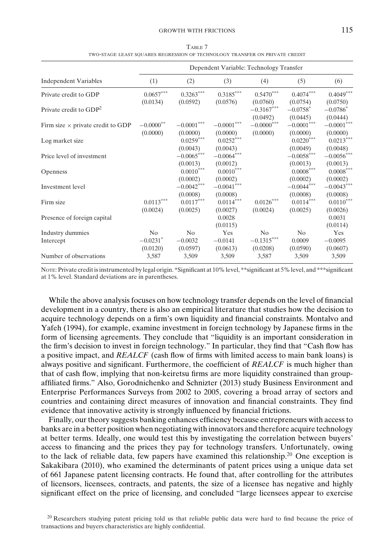#### GROWTH WITH FRICTIONS 115

|                                          |                                     |                                     |                                     | Dependent Variable: Technology Transfer |                                     |                                     |
|------------------------------------------|-------------------------------------|-------------------------------------|-------------------------------------|-----------------------------------------|-------------------------------------|-------------------------------------|
| <b>Independent Variables</b>             | (1)                                 | (2)                                 | (3)                                 | (4)                                     | (5)                                 | (6)                                 |
| Private credit to GDP                    | $0.0657^{\ast\ast\ast}$<br>(0.0134) | $0.3263***$<br>(0.0592)             | $0.3185^{\ast\ast\ast}$<br>(0.0576) | $0.5470***$<br>(0.0760)                 | $0.4074***$<br>(0.0754)             | $0.4049***$<br>(0.0750)             |
| Private credit to $GDP2$                 |                                     |                                     |                                     | $-0.3167^{\ast\ast\ast}$<br>(0.0492)    | $-0.0758^*$<br>(0.0445)             | $-0.0786*$<br>(0.0444)              |
| Firm size $\times$ private credit to GDP | $-0.0000$ <sup>**</sup><br>(0.0000) | $-0.0001^{***}\,$<br>(0.0000)       | $-0.0001^{***}\,$<br>(0.0000)       | $-0.0000***$<br>(0.0000)                | $-0.0001^{***}\,$<br>(0.0000)       | $-0.0001^{***}\,$<br>(0.0000)       |
| Log market size                          |                                     | $0.0259^{***}$<br>(0.0043)          | $0.0252^{\ast\ast\ast}$<br>(0.0043) |                                         | $0.0220***$<br>(0.0049)             | $0.0213^{***}$<br>(0.0048)          |
| Price level of investment                |                                     | $-0.0065***$<br>(0.0013)            | $-0.0064***$<br>(0.0012)            |                                         | $-0.0058***$<br>(0.0013)            | $-0.0056^{***}\,$<br>(0.0013)       |
| <b>Openness</b>                          |                                     | $0.0010^{\ast\ast\ast}$<br>(0.0002) | $0.0010^{\ast\ast\ast}$<br>(0.0002) |                                         | $0.0008^{\ast\ast\ast}$<br>(0.0002) | $0.0008^{\ast\ast\ast}$<br>(0.0002) |
| Investment level                         |                                     | $-0.0042***$<br>(0.0008)            | $-0.0041***$<br>(0.0008)            |                                         | $-0.0044***$<br>(0.0008)            | $-0.0043***$<br>(0.0008)            |
| Firm size                                | $0.0113^{***}\,$<br>(0.0024)        | $0.0117^{\ast\ast\ast}$<br>(0.0025) | $0.0114^{***}\,$<br>(0.0027)        | $0.0126^{\ast\ast\ast}$<br>(0.0024)     | $0.0114^{***}\,$<br>(0.0025)        | $0.0110^{\ast\ast\ast}$<br>(0.0026) |
| Presence of foreign capital              |                                     |                                     | 0.0028<br>(0.0115)                  |                                         |                                     | 0.0031<br>(0.0114)                  |
| Industry dummies<br>Intercept            | N <sub>o</sub><br>$-0.0231$ *       | N <sub>0</sub><br>$-0.0032$         | Yes<br>$-0.0141$                    | No<br>$-0.1315***$                      | N <sub>o</sub><br>0.0009            | Yes<br>$-0.0095$                    |
| Number of observations                   | (0.0120)<br>3,587                   | (0.0597)<br>3,509                   | (0.0613)<br>3,509                   | (0.0208)<br>3,587                       | (0.0590)<br>3,509                   | (0.0607)<br>3,509                   |

TABLE 7 TWO-STAGE LEAST SQUARES REGRESSION OF TECHNOLOGY TRANSFER ON PRIVATE CREDIT

NOTE: Private credit is instrumented by legal origin. \*Significant at 10% level, \*\*significant at 5% level, and \*\*\*significant at 1% level. Standard deviations are in parentheses.

While the above analysis focuses on how technology transfer depends on the level of financial development in a country, there is also an empirical literature that studies how the decision to acquire technology depends on a firm's own liquidity and financial constraints. Montalvo and Yafeh (1994), for example, examine investment in foreign technology by Japanese firms in the form of licensing agreements. They conclude that "liquidity is an important consideration in the firm's decision to invest in foreign technology." In particular, they find that "Cash flow has a positive impact, and *REALCF* (cash flow of firms with limited access to main bank loans) is always positive and significant. Furthermore, the coefficient of *REALCF* is much higher than that of cash flow, implying that non-keiretsu firms are more liquidity constrained than groupaffiliated firms." Also, Gorodnichenko and Schnizter (2013) study Business Environment and Enterprise Performances Surveys from 2002 to 2005, covering a broad array of sectors and countries and containing direct measures of innovation and financial constraints. They find evidence that innovative activity is strongly influenced by financial frictions.

Finally, our theory suggests banking enhances efficiency because entrepreneurs with access to banks are in a better position when negotiating with innovators and therefore acquire technology at better terms. Ideally, one would test this by investigating the correlation between buyers' access to financing and the prices they pay for technology transfers. Unfortunately, owing to the lack of reliable data, few papers have examined this relationship.<sup>20</sup> One exception is Sakakibara (2010), who examined the determinants of patent prices using a unique data set of 661 Japanese patent licensing contracts. He found that, after controlling for the attributes of licensors, licensees, contracts, and patents, the size of a licensee has negative and highly significant effect on the price of licensing, and concluded "large licensees appear to exercise

<sup>&</sup>lt;sup>20</sup> Researchers studying patent pricing told us that reliable public data were hard to find because the price of transactions and buyers characteristics are highly confidential.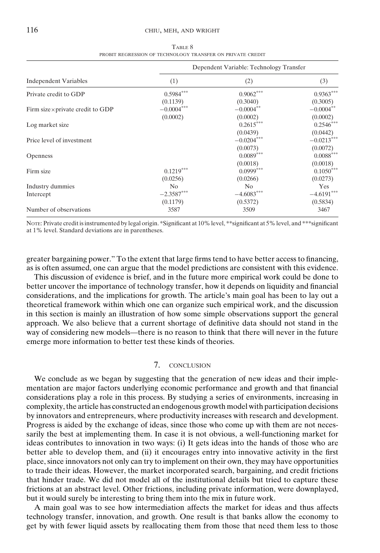|                                          |                | Dependent Variable: Technology Transfer |                         |
|------------------------------------------|----------------|-----------------------------------------|-------------------------|
| Independent Variables                    | (1)            | (2)                                     | (3)                     |
| Private credit to GDP                    | $0.5984***$    | $0.9062***$                             | $0.9363***$             |
|                                          | (0.1139)       | (0.3040)                                | (0.3005)                |
| Firm size $\times$ private credit to GDP | $-0.0004***$   | $-0.0004$ **                            | $-0.0004***$            |
|                                          | (0.0002)       | (0.0002)                                | (0.0002)                |
| Log market size                          |                | $0.2615***$                             | $0.2546***$             |
|                                          |                | (0.0439)                                | (0.0442)                |
| Price level of investment                |                | $-0.0204***$                            | $-0.0213***$            |
|                                          |                | (0.0073)                                | (0.0072)                |
| <b>Openness</b>                          |                | $0.0089***$                             | $0.0088^{\ast\ast\ast}$ |
|                                          |                | (0.0018)                                | (0.0018)                |
| Firm size                                | $0.1219***$    | $0.0999$ ***                            | $0.1050***$             |
|                                          | (0.0256)       | (0.0266)                                | (0.0273)                |
| Industry dummies                         | N <sub>0</sub> | N <sub>0</sub>                          | Yes                     |
| Intercept                                | $-2.3587***$   | $-4.6083***$                            | $-4.6191***$            |
|                                          | (0.1179)       | (0.5372)                                | (0.5834)                |
| Number of observations                   | 3587           | 3509                                    | 3467                    |

TABLE 8 PROBIT REGRESSION OF TECHNOLOGY TRANSFER ON PRIVATE CREDIT

NOTE: Private credit is instrumented by legal origin. \*Significant at 10% level, \*\*significant at 5% level, and \*\*\*significant at 1% level. Standard deviations are in parentheses.

greater bargaining power." To the extent that large firms tend to have better access to financing, as is often assumed, one can argue that the model predictions are consistent with this evidence.

This discussion of evidence is brief, and in the future more empirical work could be done to better uncover the importance of technology transfer, how it depends on liquidity and financial considerations, and the implications for growth. The article's main goal has been to lay out a theoretical framework within which one can organize such empirical work, and the discussion in this section is mainly an illustration of how some simple observations support the general approach. We also believe that a current shortage of definitive data should not stand in the way of considering new models—there is no reason to think that there will never in the future emerge more information to better test these kinds of theories.

# 7. CONCLUSION

We conclude as we began by suggesting that the generation of new ideas and their implementation are major factors underlying economic performance and growth and that financial considerations play a role in this process. By studying a series of environments, increasing in complexity, the article has constructed an endogenous growth model with participation decisions by innovators and entrepreneurs, where productivity increases with research and development. Progress is aided by the exchange of ideas, since those who come up with them are not necessarily the best at implementing them. In case it is not obvious, a well-functioning market for ideas contributes to innovation in two ways: (i) It gets ideas into the hands of those who are better able to develop them, and (ii) it encourages entry into innovative activity in the first place, since innovators not only can try to implement on their own, they may have opportunities to trade their ideas. However, the market incorporated search, bargaining, and credit frictions that hinder trade. We did not model all of the institutional details but tried to capture these frictions at an abstract level. Other frictions, including private information, were downplayed, but it would surely be interesting to bring them into the mix in future work.

A main goal was to see how intermediation affects the market for ideas and thus affects technology transfer, innovation, and growth. One result is that banks allow the economy to get by with fewer liquid assets by reallocating them from those that need them less to those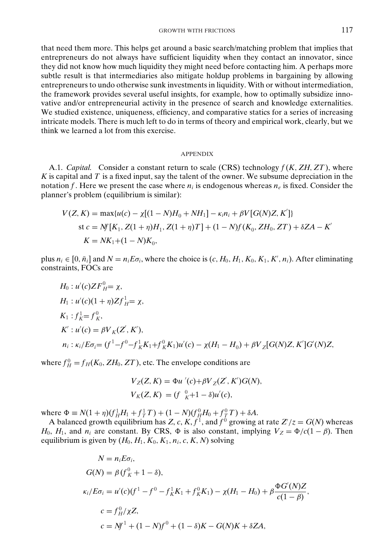that need them more. This helps get around a basic search/matching problem that implies that entrepreneurs do not always have sufficient liquidity when they contact an innovator, since they did not know how much liquidity they might need before contacting him. A perhaps more subtle result is that intermediaries also mitigate holdup problems in bargaining by allowing entrepreneurs to undo otherwise sunk investments in liquidity. With or without intermediation, the framework provides several useful insights, for example, how to optimally subsidize innovative and/or entrepreneurial activity in the presence of search and knowledge externalities. We studied existence, uniqueness, efficiency, and comparative statics for a series of increasing intricate models. There is much left to do in terms of theory and empirical work, clearly, but we think we learned a lot from this exercise.

#### APPENDIX

A.1. *Capital.* Consider a constant return to scale (CRS) technology  $f(K, ZH, ZT)$ , where *K* is capital and *T* is a fixed input, say the talent of the owner. We subsume depreciation in the notation *f*. Here we present the case where  $n_i$  is endogenous whereas  $n_e$  is fixed. Consider the planner's problem (equilibrium is similar):

$$
V(Z, K) = \max\{u(c) - \chi[(1 - N)H_0 + NH_1] - \kappa_i n_i + \beta V[G(N)Z, K']\}
$$
  
st  $c = Nf[K_1, Z(1 + \eta)H_1, Z(1 + \eta)T] + (1 - N)f(K_0, ZH_0, ZT) + \delta ZA - K'$   
 $K = NK_1 + (1 - N)K_0,$ 

plus  $n_i \in [0, \bar{n}_i]$  and  $N = n_i E \sigma_i$ , where the choice is  $(c, H_0, H_1, K_0, K_1, K', n_i)$ . After eliminating constraints, FOCs are

$$
H_0: u'(c)ZF_H^0 = \chi,
$$
  
\n
$$
H_1: u'(c)(1+\eta)Zf_H^1 = \chi,
$$
  
\n
$$
K_1: f_k^1 = f_k^0,
$$
  
\n
$$
K': u'(c) = \beta V_K(Z', K'),
$$
  
\n
$$
n_i: \kappa_i/E\sigma_i = (f^1 - f^0 - f_k^1 K_1 + f_k^0 K_1)u'(c) - \chi(H_1 - H_0) + \beta V_Z[G(N)Z, K']G'(N)Z,
$$

where  $f_H^0 = f_H(K_0, ZH_0, ZT)$ , etc. The envelope conditions are

$$
V_Z(Z, K) = \Phi u'(c) + \beta V_Z(Z', K')G(N),
$$
  
\n
$$
V_K(Z, K) = (f_{K}^{0} + 1 - \delta)u'(c),
$$

 $W = N(1 + \eta)(f_H^1 H_1 + f_T^1 T) + (1 - N)(f_H^0 H_0 + f_T^0 T) + \delta A$ .

A balanced growth equilibrium has *Z*, *c*, *K*,  $f^1$ , and  $f^0$  growing at rate  $Z'/z = G(N)$  whereas *H*<sub>0</sub>, *H*<sub>1</sub>, and *n<sub>i</sub>* are constant. By CRS,  $\Phi$  is also constant, implying  $V_Z = \Phi/c(1 - \beta)$ . Then equilibrium is given by  $(H_0, H_1, K_0, K_1, n_i, c, K, N)$  solving

$$
N = n_i E \sigma_i,
$$
  
\n
$$
G(N) = \beta (f_K^0 + 1 - \delta),
$$
  
\n
$$
\kappa_i / E \sigma_i = u'(c)(f^1 - f^0 - f_K^1 K_1 + f_K^0 K_1) - \chi (H_1 - H_0) + \beta \frac{\Phi G'(N)Z}{c(1 - \beta)},
$$
  
\n
$$
c = f_H^0 / \chi Z,
$$
  
\n
$$
c = Nf^1 + (1 - N)f^0 + (1 - \delta)K - G(N)K + \delta ZA,
$$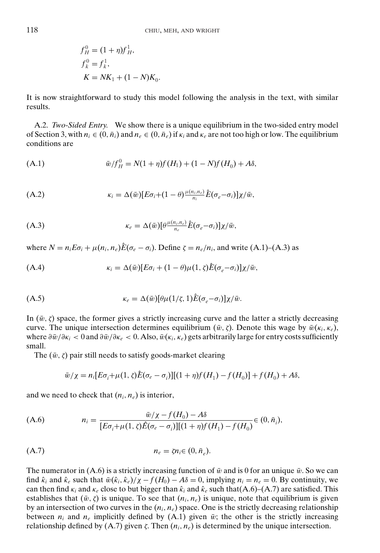$$
f_H^0 = (1 + \eta)f_H^1,
$$
  
\n
$$
f_k^0 = f_k^1,
$$
  
\n
$$
K = NK_1 + (1 - N)K_0.
$$

It is now straightforward to study this model following the analysis in the text, with similar results.

A.2. *Two-Sided Entry.* We show there is a unique equilibrium in the two-sided entry model of Section 3, with  $n_i \in (0, \bar{n}_i)$  and  $n_e \in (0, \bar{n}_e)$  if  $\kappa_i$  and  $\kappa_e$  are not too high or low. The equilibrium conditions are

(A.1) 
$$
\bar{w}/f_H^0 = N(1+\eta)f(H_1) + (1-N)f(H_0) + A\delta,
$$

(A.2) 
$$
\kappa_i = \Delta(\bar{w}) \left[ E \sigma_i + (1-\theta) \frac{\mu(n_i, n_e)}{n_i} \hat{E} (\sigma_e - \sigma_i) \right] \chi / \bar{w},
$$

$$
\kappa_e = \Delta(\bar{w}) \left[ \theta \frac{\mu(n_i, n_e)}{n_e} \hat{E}(\sigma_e - \sigma_i) \right] \chi / \bar{w},
$$

where  $N = n_i E \sigma_i + \mu(n_i, n_e) \hat{E}(\sigma_e - \sigma_i)$ . Define  $\zeta = n_e/n_i$ , and write (A.1)–(A.3) as

(A.4) 
$$
\kappa_i = \Delta(\bar{w})[E\sigma_i + (1-\theta)\mu(1,\zeta)\hat{E}(\sigma_e-\sigma_i)]\chi/\bar{w},
$$

(A.5) 
$$
\kappa_e = \Delta(\bar{w})[\theta \mu(1/\zeta, 1)\hat{E}(\sigma_e - \sigma_i)]\chi/\bar{w}.
$$

In  $(\bar{w}, \zeta)$  space, the former gives a strictly increasing curve and the latter a strictly decreasing curve. The unique intersection determines equilibrium ( $\bar{w}$ ,  $\zeta$ ). Denote this wage by  $\bar{w}(\kappa_i, \kappa_e)$ , where  $\frac{\partial \bar{w}}{\partial \kappa_i}$  < 0 and  $\frac{\partial \bar{w}}{\partial \kappa_{e}}$  < 0. Also,  $\bar{w}(\kappa_i, \kappa_e)$  gets arbitrarily large for entry costs sufficiently small.

The  $(\bar{w}, \zeta)$  pair still needs to satisfy goods-market clearing

$$
\bar{w}/\chi = n_i[E\sigma_i + \mu(1,\zeta)\hat{E}(\sigma_e - \sigma_i)][(1+\eta)f(H_1) - f(H_0)] + f(H_0) + A\delta,
$$

and we need to check that  $(n_i, n_e)$  is interior,

(A.6) 
$$
n_i = \frac{\bar{w}/\chi - f(H_0) - A\delta}{[E\sigma_i + \mu(1, \zeta)\hat{E}(\sigma_e - \sigma_i)][(1 + \eta)f(H_1) - f(H_0)} \in (0, \bar{n}_i),
$$

$$
(A.7) \t\t n_e = \zeta n_i \in (0, \bar{n}_e).
$$

The numerator in (A.6) is a strictly increasing function of  $\bar{w}$  and is 0 for an unique  $\bar{w}$ . So we can find  $\hat{\kappa}_i$  and  $\hat{\kappa}_e$  such that  $\bar{w}(\hat{\kappa}_i, \hat{\kappa}_e)/\chi - f(H_0) - A\delta = 0$ , implying  $n_i = n_e = 0$ . By continuity, we can then find  $\kappa_i$  and  $\kappa_e$  close to but bigger than  $\hat{\kappa}_i$  and  $\hat{\kappa}_e$  such that(A.6)–(A.7) are satisfied. This establishes that  $(\bar{w}, \zeta)$  is unique. To see that  $(n_i, n_e)$  is unique, note that equilibrium is given by an intersection of two curves in the  $(n_i, n_e)$  space. One is the strictly decreasing relationship between  $n_i$  and  $n_e$  implicitly defined by  $(A.1)$  given  $\bar{w}$ ; the other is the strictly increasing relationship defined by  $(A.7)$  given  $\zeta$ . Then  $(n_i, n_e)$  is determined by the unique intersection.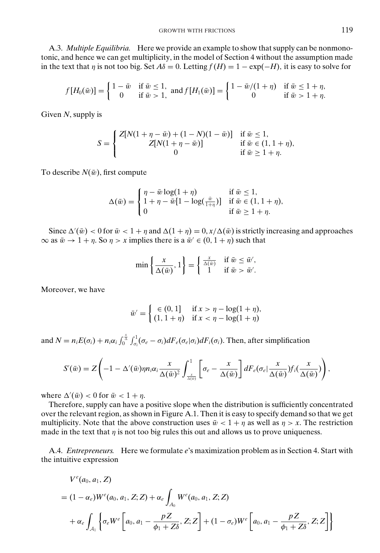A.3. *Multiple Equilibria.* Here we provide an example to show that supply can be nonmonotonic, and hence we can get multiplicity, in the model of Section 4 without the assumption made in the text that  $\eta$  is not too big. Set  $A\delta = 0$ . Letting  $f(H) = 1 - \exp(-H)$ , it is easy to solve for

$$
f[H_0(\bar{w})] = \begin{cases} 1 - \bar{w} & \text{if } \bar{w} \le 1, \\ 0 & \text{if } \bar{w} > 1, \end{cases} \text{ and } f[H_1(\bar{w})] = \begin{cases} 1 - \bar{w}/(1 + \eta) & \text{if } \bar{w} \le 1 + \eta, \\ 0 & \text{if } \bar{w} > 1 + \eta. \end{cases}
$$

Given *N*, supply is

$$
S = \begin{cases} Z[N(1 + \eta - \bar{w}) + (1 - N)(1 - \bar{w})] & \text{if } \bar{w} \le 1, \\ Z[N(1 + \eta - \bar{w})] & \text{if } \bar{w} \in (1, 1 + \eta), \\ 0 & \text{if } \bar{w} \ge 1 + \eta. \end{cases}
$$

To describe  $N(\bar{w})$ , first compute

$$
\Delta(\bar{w}) = \begin{cases} \eta - \bar{w} \log(1 + \eta) & \text{if } \bar{w} \le 1, \\ 1 + \eta - \bar{w}[1 - \log(\frac{\bar{w}}{1 + \eta})] & \text{if } \bar{w} \in (1, 1 + \eta), \\ 0 & \text{if } \bar{w} \ge 1 + \eta. \end{cases}
$$

Since  $\Delta'(\bar{w}) < 0$  for  $\bar{w} < 1 + \eta$  and  $\Delta(1 + \eta) = 0$ ,  $x/\Delta(\bar{w})$  is strictly increasing and approaches  $\infty$  as  $\bar{w} \to 1 + \eta$ . So  $\eta > x$  implies there is a  $\bar{w}' \in (0, 1 + \eta)$  such that

$$
\min\left\{\frac{x}{\Delta(\bar{w})}, 1\right\} = \begin{cases} \frac{x}{\Delta(\bar{w})} & \text{if } \bar{w} \le \bar{w}',\\ 1 & \text{if } \bar{w} > \bar{w}'. \end{cases}
$$

Moreover, we have

$$
\bar{w}' = \begin{cases} \in (0, 1] & \text{if } x > \eta - \log(1 + \eta), \\ (1, 1 + \eta) & \text{if } x < \eta - \log(1 + \eta) \end{cases}
$$

and  $N = n_i E(\sigma_i) + n_i \alpha_i \int_0^{\frac{\pi}{\Delta}} \int_{\sigma_i}^1 (\sigma_e - \sigma_i) dF_e(\sigma_e | \sigma_i) dF_i(\sigma_i)$ . Then, after simplification

$$
S'(\bar{w}) = Z\left(-1 - \Delta'(\bar{w})\eta n_i\alpha_i \frac{x}{\Delta(\bar{w})^2} \int_{\frac{x}{\Delta(\bar{w})}}^1 \left[\sigma_e - \frac{x}{\Delta(\bar{w})}\right] dF_e(\sigma_e|\frac{x}{\Delta(\bar{w})}) f_i(\frac{x}{\Delta(\bar{w})})\right),
$$

where  $\Delta'(\bar{w}) < 0$  for  $\bar{w} < 1 + \eta$ .

Therefore, supply can have a positive slope when the distribution is sufficiently concentrated over the relevant region, as shown in Figure A.1. Then it is easy to specify demand so that we get multiplicity. Note that the above construction uses  $\bar{w} < 1 + \eta$  as well as  $\eta > x$ . The restriction made in the text that  $\eta$  is not too big rules this out and allows us to prove uniqueness.

A.4. *Entrepreneurs.* Here we formulate *e*'s maximization problem as in Section 4. Start with the intuitive expression

$$
V^{e}(a_{0}, a_{1}, Z)
$$
  
=  $(1 - \alpha_{e})W^{e}(a_{0}, a_{1}, Z; Z) + \alpha_{e} \int_{A_{0}} W^{e}(a_{0}, a_{1}, Z; Z)$   
+  $\alpha_{e} \int_{A_{1}} \left\{ \sigma_{e}W^{e}\left[a_{0}, a_{1} - \frac{pZ}{\phi_{1} + Z\delta}, Z; Z\right] + (1 - \sigma_{e})W^{e}\left[a_{0}, a_{1} - \frac{pZ}{\phi_{1} + Z\delta}, Z; Z\right] \right\}$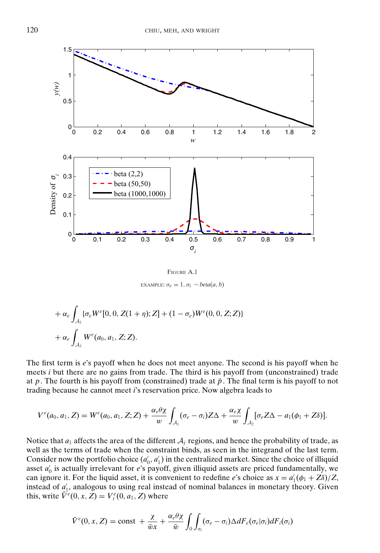

FIGURE A.1 EXAMPLE:  $\sigma_e = 1$ ,  $\sigma_i \sim beta(a, b)$ 

+ 
$$
\alpha_e \int_{\mathcal{A}_2} {\{\sigma_e W^e[0, 0, Z(1 + \eta); Z] + (1 - \sigma_e) W^e(0, 0, Z; Z) \}}
$$
  
+  $\alpha_e \int_{\mathcal{A}_3} W^e(a_0, a_1, Z; Z).$ 

The first term is *e*'s payoff when he does not meet anyone. The second is his payoff when he meets *i* but there are no gains from trade. The third is his payoff from (unconstrained) trade at  $p$ . The fourth is his payoff from (constrained) trade at  $\bar{p}$ . The final term is his payoff to not trading because he cannot meet *i*'s reservation price. Now algebra leads to

$$
V^e(a_0,a_1,Z)=W^e(a_0,a_1,Z;Z)+\frac{\alpha_e\theta\chi}{w}\int_{\mathcal{A}_1}(\sigma_e-\sigma_i)Z\Delta+\frac{\alpha_e\chi}{w}\int_{\mathcal{A}_2}[\sigma_eZ\Delta-a_1(\phi_1+Z\delta)].
$$

Notice that  $a_1$  affects the area of the different  $A_i$  regions, and hence the probability of trade, as well as the terms of trade when the constraint binds, as seen in the integrand of the last term. Consider now the portfolio choice  $(a'_0, a'_1)$  in the centralized market. Since the choice of illiquid asset  $a'_0$  is actually irrelevant for *e*'s payoff, given illiquid assets are priced fundamentally, we can ignore it. For the liquid asset, it is convenient to redefine *e*'s choice as  $x = a'_1(\phi_1 + Z\delta)/Z$ , instead of  $a'_{1}$ , analogous to using real instead of nominal balances in monetary theory. Given this, write  $\tilde{V}^e(0, x, Z) = V^e(t, a_1, Z)$  where

$$
\tilde{V}^{e}(0, x, Z) = \text{const} + \frac{\chi}{\bar{w}x} + \frac{\alpha_e \theta \chi}{\bar{w}} \int_0^{\infty} \int_{\sigma_i} (\sigma_e - \sigma_i) \Delta dF_e(\sigma_e | \sigma_i) dF_i(\sigma_i)
$$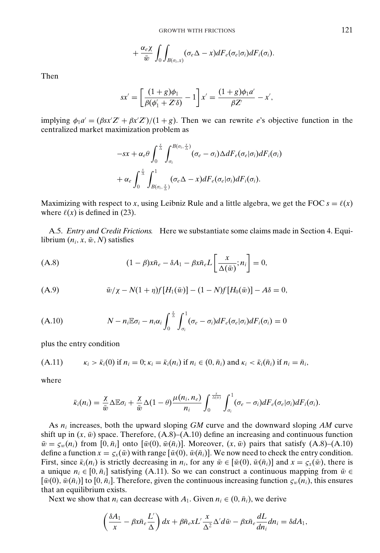$$
+\frac{\alpha_e\chi}{\bar{w}}\int_0\int_{B(\sigma_i,x)}(\sigma_e\Delta-x)dF_e(\sigma_e|\sigma_i)dF_i(\sigma_i).
$$

Then

$$
sx' = \left[\frac{(1+g)\phi_1}{\beta(\phi'_1 + Z'\delta)} - 1\right]x' = \frac{(1+g)\phi_1 a'}{\beta Z'} - x',
$$

implying  $\phi_1 a' = (\beta s x' Z' + \beta x' Z') / (1 + g)$ . Then we can rewrite *e*'s objective function in the centralized market maximization problem as

$$
-sx+\alpha_e\theta\int_0^{\frac{x}{\Delta}}\int_{\sigma_i}^{B(\sigma_i,\frac{x}{\Delta})}(\sigma_e-\sigma_i)\Delta dF_e(\sigma_e|\sigma_i)dF_i(\sigma_i)
$$

$$
+\alpha_e\int_0^{\frac{x}{\Delta}}\int_{B(\sigma_i,\frac{x}{\Delta})}^{1}(\sigma_e\Delta-x)dF_e(\sigma_e|\sigma_i)dF_i(\sigma_i).
$$

Maximizing with respect to *x*, using Leibniz Rule and a little algebra, we get the FOC  $s = \ell(x)$ where  $\ell(x)$  is defined in (23).

A.5. *Entry and Credit Frictions.* Here we substantiate some claims made in Section 4. Equilibrium  $(n_i, x, \bar{w}, N)$  satisfies

(A.8) 
$$
(1 - \beta)x\bar{n}_e - \delta A_1 - \beta x \bar{n}_e L\left[\frac{x}{\Delta(\bar{w})}; n_i\right] = 0,
$$

(A.9) 
$$
\bar{w}/\chi - N(1+\eta)f[H_1(\bar{w})] - (1-N)f[H_0(\bar{w})] - A\delta = 0,
$$

(A.10) 
$$
N - n_i \mathbb{E} \sigma_i - n_i \alpha_i \int_0^{\frac{x}{\Delta}} \int_{\sigma_i}^1 (\sigma_e - \sigma_i) dF_e(\sigma_e | \sigma_i) dF_i(\sigma_i) = 0
$$

plus the entry condition

(A.11) 
$$
\kappa_i > \bar{\kappa}_i(0) \text{ if } n_i = 0; \kappa_i = \bar{\kappa}_i(n_i) \text{ if } n_i \in (0, \bar{n}_i) \text{ and } \kappa_i < \bar{\kappa}_i(\bar{n}_i) \text{ if } n_i = \bar{n}_i,
$$

where

$$
\bar{\kappa}_i(n_i) = \frac{\chi}{\bar{w}} \Delta \mathbb{E} \sigma_i + \frac{\chi}{\bar{w}} \Delta (1-\theta) \frac{\mu(n_i, n_e)}{n_i} \int_0^{\frac{\chi}{\Delta(\bar{w})}} \int_{\sigma_i}^1 (\sigma_e - \sigma_i) dF_e(\sigma_e | \sigma_i) dF_i(\sigma_i).
$$

As *ni* increases, both the upward sloping *GM* curve and the downward sloping *AM* curve shift up in  $(x, \bar{w})$  space. Therefore,  $(A.8)$ – $(A.10)$  define an increasing and continuous function  $\bar{w} = \zeta_w(n_i)$  from [0,  $\bar{n}_i$ ] onto [ $\bar{w}(0)$ ,  $\bar{w}(\bar{n}_i)$ ]. Moreover,  $(x, \bar{w})$  pairs that satisfy (A.8)–(A.10) define a function  $x = \zeta_x(\bar{w})$  with range  $[\bar{w}(0), \bar{w}(\bar{n}_i)]$ . We now need to check the entry condition. First, since  $\bar{\kappa}_i(n_i)$  is strictly decreasing in  $n_i$ , for any  $\bar{w} \in [\bar{w}(0), \bar{w}(\bar{n}_i)]$  and  $x = \zeta_x(\bar{w})$ , there is a unique  $n_i \in [0, \bar{n}_i]$  satisfying (A.11). So we can construct a continuous mapping from  $\bar{w} \in$  $[\bar{w}(0), \bar{w}(\bar{n}_i)]$  to  $[0, \bar{n}_i]$ . Therefore, given the continuous increasing function  $\zeta_w(n_i)$ , this ensures that an equilibrium exists.

Next we show that  $n_i$  can decrease with  $A_1$ . Given  $n_i \in (0, \bar{n}_i)$ , we derive

$$
\left(\frac{\delta A_1}{x} - \beta x \bar{n}_e \frac{L'}{\Delta}\right) dx + \beta \bar{n}_e x L' \frac{x}{\Delta^2} \Delta' d\bar{w} - \beta x \bar{n}_e \frac{dL}{dn_i} dn_i = \delta dA_1,
$$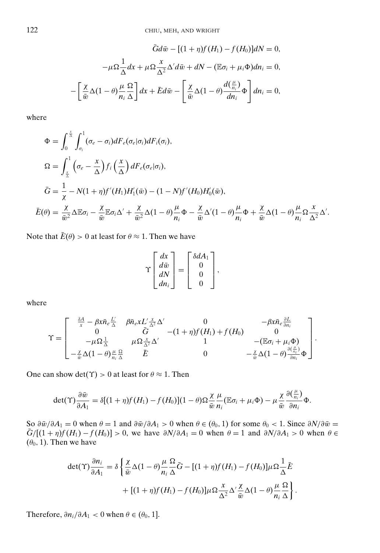$$
\bar{G}d\bar{w} - [(1+\eta)f(H_1) - f(H_0)]dN = 0,
$$
  

$$
-\mu\Omega\frac{1}{\Delta}dx + \mu\Omega\frac{x}{\Delta^2}\Delta'd\bar{w} + dN - (\mathbb{E}\sigma_i + \mu_i\Phi)dn_i = 0,
$$
  

$$
-\left[\frac{\chi}{\bar{w}}\Delta(1-\theta)\frac{\mu}{n_i}\frac{\Omega}{\Delta}\right]dx + \bar{E}d\bar{w} - \left[\frac{\chi}{\bar{w}}\Delta(1-\theta)\frac{d(\frac{\mu}{n_i})}{dn_i}\Phi\right]dn_i = 0,
$$

where

$$
\Phi = \int_0^{\frac{x}{\Delta}} \int_{\sigma_i}^1 (\sigma_e - \sigma_i) dF_e(\sigma_e | \sigma_i) dF_i(\sigma_i),
$$
  
\n
$$
\Omega = \int_{\frac{x}{\Delta}}^1 (\sigma_e - \frac{x}{\Delta}) f_i \left(\frac{x}{\Delta}\right) dF_e(\sigma_e | \sigma_i),
$$
  
\n
$$
\bar{G} = \frac{1}{\chi} - N(1 + \eta) f'(H_1) H'_1(\bar{w}) - (1 - N) f'(H_0) H'_0(\bar{w}),
$$
  
\n
$$
\bar{E}(\theta) = \frac{\chi}{\bar{w}^2} \Delta \mathbb{E} \sigma_i - \frac{\chi}{\bar{w}} \mathbb{E} \sigma_i \Delta' + \frac{\chi}{\bar{w}^2} \Delta (1 - \theta) \frac{\mu}{n_i} \Phi - \frac{\chi}{\bar{w}} \Delta' (1 - \theta) \frac{\mu}{n_i} \Phi + \frac{\chi}{\bar{w}} \Delta (1 - \theta) \frac{\mu}{n_i} \Omega \frac{x}{\Delta^2} \Delta'.
$$

Note that  $\bar{E}(\theta) > 0$  at least for  $\theta \approx 1$ . Then we have

$$
\Upsilon \begin{bmatrix} dx \\ d\bar{w} \\ dN \\ dn_i \end{bmatrix} = \begin{bmatrix} \delta dA_1 \\ 0 \\ 0 \\ 0 \end{bmatrix},
$$

where

$$
\Upsilon = \begin{bmatrix}\n\frac{\delta A}{x} - \beta x \bar{n}_e \frac{L'}{\Delta} & \beta \bar{n}_e x L' \frac{x}{\Delta^2} \Delta' & 0 & -\beta x \bar{n}_e \frac{\partial L}{\partial n_i} \\
0 & \bar{G} & -(1+\eta) f(H_1) + f(H_0) & 0 \\
-\mu \Omega \frac{1}{\Delta} & \mu \Omega \frac{x}{\Delta^2} \Delta' & 1 & -(\mathbb{E}\sigma_i + \mu_i \Phi) \\
-\frac{x}{w} \Delta (1-\theta) \frac{\mu}{n_i} \frac{\Omega}{\Delta} & \bar{E} & 0 & -\frac{x}{w} \Delta (1-\theta) \frac{\partial (\frac{\mu}{n_i})}{\partial n_i} \Phi\n\end{bmatrix}.
$$

One can show det( $\Upsilon$ ) > 0 at least for  $\theta \approx 1$ . Then

$$
\det(\Upsilon)\frac{\partial \bar{w}}{\partial A_1} = \delta[(1+\eta)f(H_1) - f(H_0)](1-\theta)\Omega\frac{\chi}{\bar{w}}\frac{\mu}{n_i}(\mathbb{E}\sigma_i + \mu_i\Phi) - \mu\frac{\chi}{\bar{w}}\frac{\partial(\frac{\mu}{n_i})}{\partial n_i}\Phi.
$$

So  $\partial \bar{w}/\partial A_1 = 0$  when  $\theta = 1$  and  $\partial \bar{w}/\partial A_1 > 0$  when  $\theta \in (\theta_0, 1)$  for some  $\theta_0 < 1$ . Since  $\partial N/\partial \bar{w} =$  $\overline{G}/[(1 + \eta)f(H_1) - f(H_0)] > 0$ , we have  $\partial N/\partial A_1 = 0$  when  $\theta = 1$  and  $\partial N/\partial A_1 > 0$  when  $\theta \in$  $(\theta_0, 1)$ . Then we have

$$
\det(\Upsilon) \frac{\partial n_i}{\partial A_1} = \delta \left\{ \frac{\chi}{\bar{w}} \Delta (1 - \theta) \frac{\mu}{n_i} \frac{\Omega}{\Delta} \bar{G} - \left[ (1 + \eta) f(H_1) - f(H_0) \right] \mu \Omega \frac{1}{\Delta} \bar{E} \right. \\ \left. + \left[ (1 + \eta) f(H_1) - f(H_0) \right] \mu \Omega \frac{\chi}{\Delta^2} \Delta' \frac{\chi}{\bar{w}} \Delta (1 - \theta) \frac{\mu}{n_i} \frac{\Omega}{\Delta} \right\}.
$$

Therefore,  $\partial n_i/\partial A_1 < 0$  when  $\theta \in (\theta_0, 1]$ .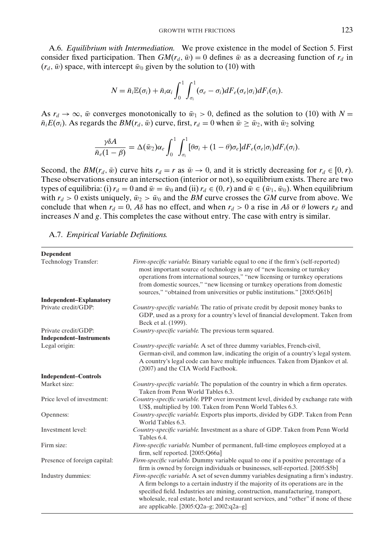A.6. *Equilibrium with Intermediation.* We prove existence in the model of Section 5. First consider fixed participation. Then  $GM(r_d, \bar{w}) = 0$  defines  $\bar{w}$  as a decreasing function of  $r_d$  in  $(r_d, \bar{w})$  space, with intercept  $\bar{w}_0$  given by the solution to (10) with

$$
N=\bar{n}_{i}\mathbb{E}(\sigma_{i})+\bar{n}_{i}\alpha_{i}\int_{0}^{1}\int_{\sigma_{i}}^{1}(\sigma_{e}-\sigma_{i})dF_{e}(\sigma_{e}|\sigma_{i})dF_{i}(\sigma_{i}).
$$

As  $r_d \rightarrow \infty$ ,  $\bar{w}$  converges monotonically to  $\bar{w}_1 > 0$ , defined as the solution to (10) with  $N =$  $\bar{n}_i E(\sigma_i)$ . As regards the *BM*( $r_d$ ,  $\bar{w}$ ) curve, first,  $r_d = 0$  when  $\bar{w} \ge \bar{w}_2$ , with  $\bar{w}_2$  solving

$$
\frac{\gamma\delta A}{\bar{n}_e(1-\beta)}=\Delta(\bar{w}_2)\alpha_e\int_0^1\int_{\sigma_i}^1[\theta\sigma_i+(1-\theta)\sigma_e]dF_e(\sigma_e|\sigma_i)dF_i(\sigma_i).
$$

Second, the *BM*( $r_d$ ,  $\bar{w}$ ) curve hits  $r_d = r$  as  $\bar{w} \to 0$ , and it is strictly decreasing for  $r_d \in [0, r)$ . These observations ensure an intersection (interior or not), so equilibrium exists. There are two types of equilibria: (i)  $r_d = 0$  and  $\bar{w} = \bar{w}_0$  and (ii)  $r_d \in (0, r)$  and  $\bar{w} \in (\bar{w}_1, \bar{w}_0)$ . When equilibrium with  $r_d > 0$  exists uniquely,  $\bar{w}_2 > \bar{w}_0$  and the *BM* curve crosses the *GM* curve from above. We conclude that when  $r_d = 0$ ,  $A\delta$  has no effect, and when  $r_d > 0$  a rise in  $A\delta$  or  $\theta$  lowers  $r_d$  and increases *N* and *g*. This completes the case without entry. The case with entry is similar.

| A.7. Empirical Variable Definitions. |  |  |
|--------------------------------------|--|--|
|--------------------------------------|--|--|

| <b>Dependent</b>               |                                                                                                                                                                                                                                                                                                                                                                                                                   |
|--------------------------------|-------------------------------------------------------------------------------------------------------------------------------------------------------------------------------------------------------------------------------------------------------------------------------------------------------------------------------------------------------------------------------------------------------------------|
| Technology Transfer:           | <i>Firm-specific variable.</i> Binary variable equal to one if the firm's (self-reported)<br>most important source of technology is any of "new licensing or turnkey"<br>operations from international sources," "new licensing or turnkey operations<br>from domestic sources," "new licensing or turnkey operations from domestic<br>sources," "obtained from universities or public institutions." [2005:Q61b] |
| <b>Independent-Explanatory</b> |                                                                                                                                                                                                                                                                                                                                                                                                                   |
| Private credit/GDP:            | Country-specific variable. The ratio of private credit by deposit money banks to<br>GDP, used as a proxy for a country's level of financial development. Taken from<br>Beck et al. (1999).                                                                                                                                                                                                                        |
| Private credit/GDP:            | Country-specific variable. The previous term squared.                                                                                                                                                                                                                                                                                                                                                             |
| <b>Independent-Instruments</b> |                                                                                                                                                                                                                                                                                                                                                                                                                   |
| Legal origin:                  | Country-specific variable. A set of three dummy variables, French-civil,<br>German-civil, and common law, indicating the origin of a country's legal system.<br>A country's legal code can have multiple influences. Taken from Djankov et al.<br>(2007) and the CIA World Factbook.                                                                                                                              |
| <b>Independent-Controls</b>    |                                                                                                                                                                                                                                                                                                                                                                                                                   |
| Market size:                   | Country-specific variable. The population of the country in which a firm operates.<br>Taken from Penn World Tables 6.3.                                                                                                                                                                                                                                                                                           |
| Price level of investment:     | Country-specific variable. PPP over investment level, divided by exchange rate with<br>US\$, multiplied by 100. Taken from Penn World Tables 6.3.                                                                                                                                                                                                                                                                 |
| Openness:                      | Country-specific variable. Exports plus imports, divided by GDP. Taken from Penn<br>World Tables 6.3.                                                                                                                                                                                                                                                                                                             |
| Investment level:              | Country-specific variable. Investment as a share of GDP. Taken from Penn World<br>Tables 6.4.                                                                                                                                                                                                                                                                                                                     |
| Firm size:                     | <i>Firm-specific variable.</i> Number of permanent, full-time employees employed at a<br>firm, self reported. [2005:O66a]                                                                                                                                                                                                                                                                                         |
| Presence of foreign capital:   | <i>Firm-specific variable.</i> Dummy variable equal to one if a positive percentage of a<br>firm is owned by foreign individuals or businesses, self-reported. [2005:S5b]                                                                                                                                                                                                                                         |
| Industry dummies:              | Firm-specific variable. A set of seven dummy variables designating a firm's industry.<br>A firm belongs to a certain industry if the majority of its operations are in the<br>specified field. Industries are mining, construction, manufacturing, transport,<br>wholesale, real estate, hotel and restaurant services, and "other" if none of these<br>are applicable. $[2005:Q2a-g; 2002:q2a-g]$                |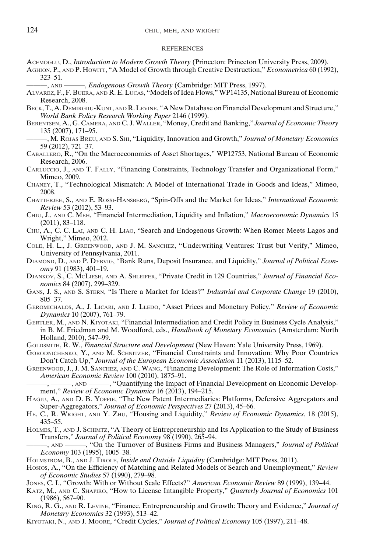#### **REFERENCES**

ACEMOGLU, D., *Introduction to Modern Growth Theory* (Princeton: Princeton University Press, 2009).

- ———, AND ———, *Endogenous Growth Theory* (Cambridge: MIT Press, 1997).
- ALVAREZ, F., F. BUERA, AND R. E. LUCAS, "Models of Idea Flows," WP14135, National Bureau of Economic Research, 2008.
- BECK, T., A. DEMIRGIIU-KUNT, AND R. LEVINE, "A New Database on Financial Development and Structure," *World Bank Policy Research Working Paper* 2146 (1999).
- BERENTSEN, A., G. CAMERA, AND C. J. WALLER, "Money, Credit and Banking," *Journal of Economic Theory* 135 (2007), 171–95.
	- ———, M. ROJAS BREU, AND S. SHI, "Liquidity, Innovation and Growth," *Journal of Monetary Economics* 59 (2012), 721–37.
- CABALLERO, R., "On the Macroeconomics of Asset Shortages," WP12753, National Bureau of Economic Research, 2006.
- CARLUCCIO, J., AND T. FALLY, "Financing Constraints, Technology Transfer and Organizational Form," Mimeo, 2009.
- CHANEY, T., "Technological Mismatch: A Model of International Trade in Goods and Ideas," Mimeo, 2008.
- CHATTERJEE, S., AND E. ROSSI-HANSBERG, "Spin-Offs and the Market for Ideas," *International Economic Review* 53 (2012), 53–93.
- CHIU, J., AND C. MEH, "Financial Intermediation, Liquidity and Inflation," *Macroeconomic Dynamics* 15 (2011), 83–118.
- CHU, A., C. C. LAI, AND C. H. LIAO, "Search and Endogenous Growth: When Romer Meets Lagos and Wright," Mimeo, 2012.
- COLE, H. L., J. GREENWOOD, AND J. M. SANCHEZ, "Underwriting Ventures: Trust but Verify," Mimeo, University of Pennsylvania, 2011.
- DIAMOND, D., AND P. DYBVIG, "Bank Runs, Deposit Insurance, and Liquidity," *Journal of Political Economy* 91 (1983), 401–19.
- DJANKOV, S., C. MCLIESH, AND A. SHLEIFER, "Private Credit in 129 Countries," *Journal of Financial Economics* 84 (2007), 299–329.
- GANS, J. S., AND S. STERN, "Is There a Market for Ideas?" *Industrial and Corporate Change* 19 (2010), 805–37.
- GEROMICHALOS, A., J. LICARI, AND J. LLEDO, "Asset Prices and Monetary Policy," *Review of Economic Dynamics* 10 (2007), 761–79.
- GERTLER, M., AND N. KIYOTAKI, "Financial Intermediation and Credit Policy in Business Cycle Analysis," in B. M. Friedman and M. Woodford, eds., *Handbook of Monetary Economics* (Amsterdam: North Holland, 2010), 547–99.
- GOLDSMITH, R. W., *Financial Structure and Development* (New Haven: Yale University Press, 1969).
- GORODNICHENKO, Y., AND M. SCHNITZER, "Financial Constraints and Innovation: Why Poor Countries Don't Catch Up," *Journal of the European Economic Association* 11 (2013), 1115–52.
- GREENWOOD, J., J. M. SANCHEZ, AND C. WANG, "Financing Development: The Role of Information Costs," *American Economic Review* 100 (2010), 1875–91.
- -, ———, AND ———, "Quantifying the Impact of Financial Development on Economic Development," *Review of Economic Dynamics* 16 (2013), 194–215.
- HAGIU, A., AND D. B. YOFFIE, "The New Patent Intermediaries: Platforms, Defensive Aggregators and Super-Aggregators," *Journal of Economic Perspectives* 27 (2013), 45–66.
- HE, C., R. WRIGHT, AND Y. ZHU, "Housing and Liquidity," *Review of Economic Dynamics*, 18 (2015), 435–55.
- HOLMES, T., AND J. SCHIMTZ, "A Theory of Entrepreneurship and Its Application to the Study of Business Transfers," *Journal of Political Economy* 98 (1990), 265–94.
- ———, AND ———, "On the Turnover of Business Firms and Business Managers," *Journal of Political Economy* 103 (1995), 1005–38.
- HOLMSTROM, B., AND J. TIROLE, *Inside and Outside Liquidity* (Cambridge: MIT Press, 2011).
- HOSIOS, A., "On the Efficiency of Matching and Related Models of Search and Unemployment," *Review of Economic Studies* 57 (1990), 279–98.
- JONES, C. I., "Growth: With or Without Scale Effects?" *American Economic Review* 89 (1999), 139–44.
- KATZ, M., AND C. SHAPIRO, "How to License Intangible Property," *Quarterly Journal of Economics* 101 (1986), 567–90.
- KING, R. G., AND R. LEVINE, "Finance, Entrepreneurship and Growth: Theory and Evidence," *Journal of Monetary Economics* 32 (1993), 513–42.
- KIYOTAKI, N., AND J. MOORE, "Credit Cycles," *Journal of Political Economy* 105 (1997), 211–48.

AGHION, P., AND P. HOWITT, "A Model of Growth through Creative Destruction," *Econometrica* 60 (1992), 323–51.